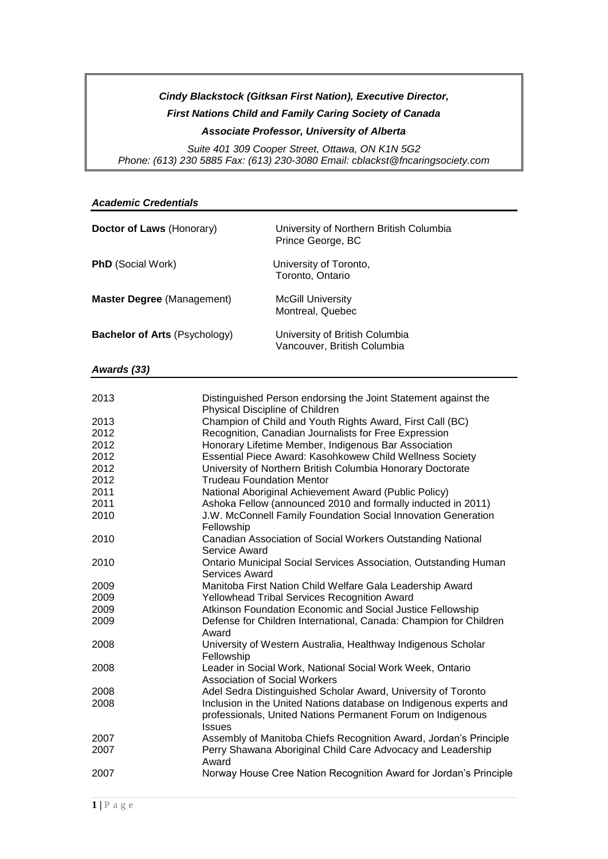## *Cindy Blackstock (Gitksan First Nation), Executive Director, First Nations Child and Family Caring Society of Canada Associate Professor, University of Alberta*

*Suite 401 309 Cooper Street, Ottawa, ON K1N 5G2 Phone: (613) 230 5885 Fax: (613) 230-3080 Email: cblackst@fncaringsociety.com*

#### *Academic Credentials*

| Doctor of Laws (Honorary)            | University of Northern British Columbia<br>Prince George, BC  |
|--------------------------------------|---------------------------------------------------------------|
| <b>PhD</b> (Social Work)             | University of Toronto,<br>Toronto, Ontario                    |
| <b>Master Degree (Management)</b>    | <b>McGill University</b><br>Montreal, Quebec                  |
| <b>Bachelor of Arts (Psychology)</b> | University of British Columbia<br>Vancouver, British Columbia |

*Awards (33)*

| 2013 | Distinguished Person endorsing the Joint Statement against the<br>Physical Discipline of Children |
|------|---------------------------------------------------------------------------------------------------|
| 2013 | Champion of Child and Youth Rights Award, First Call (BC)                                         |
| 2012 | Recognition, Canadian Journalists for Free Expression                                             |
| 2012 | Honorary Lifetime Member, Indigenous Bar Association                                              |
| 2012 | Essential Piece Award: Kasohkowew Child Wellness Society                                          |
| 2012 | University of Northern British Columbia Honorary Doctorate                                        |
| 2012 | <b>Trudeau Foundation Mentor</b>                                                                  |
| 2011 | National Aboriginal Achievement Award (Public Policy)                                             |
| 2011 | Ashoka Fellow (announced 2010 and formally inducted in 2011)                                      |
| 2010 | J.W. McConnell Family Foundation Social Innovation Generation<br>Fellowship                       |
| 2010 | Canadian Association of Social Workers Outstanding National<br>Service Award                      |
| 2010 | <b>Ontario Municipal Social Services Association, Outstanding Human</b><br>Services Award         |
| 2009 | Manitoba First Nation Child Welfare Gala Leadership Award                                         |
| 2009 | Yellowhead Tribal Services Recognition Award                                                      |
| 2009 | Atkinson Foundation Economic and Social Justice Fellowship                                        |
| 2009 | Defense for Children International, Canada: Champion for Children<br>Award                        |
| 2008 | University of Western Australia, Healthway Indigenous Scholar<br>Fellowship                       |
| 2008 | Leader in Social Work, National Social Work Week, Ontario<br><b>Association of Social Workers</b> |
| 2008 | Adel Sedra Distinguished Scholar Award, University of Toronto                                     |
| 2008 | Inclusion in the United Nations database on Indigenous experts and                                |
|      | professionals, United Nations Permanent Forum on Indigenous<br><b>Issues</b>                      |
| 2007 | Assembly of Manitoba Chiefs Recognition Award, Jordan's Principle                                 |
| 2007 | Perry Shawana Aboriginal Child Care Advocacy and Leadership<br>Award                              |
| 2007 | Norway House Cree Nation Recognition Award for Jordan's Principle                                 |
|      |                                                                                                   |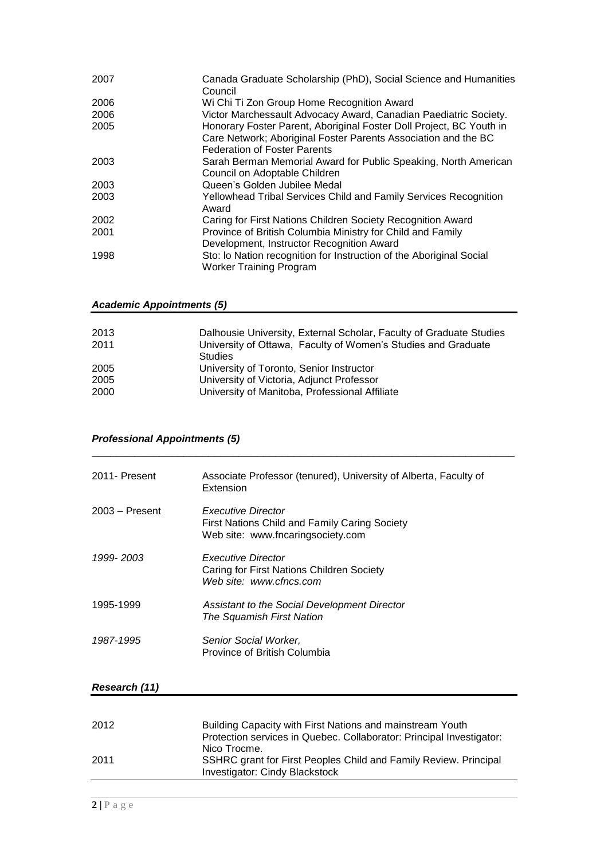| 2007 | Canada Graduate Scholarship (PhD), Social Science and Humanities<br>Council                                                                                                  |
|------|------------------------------------------------------------------------------------------------------------------------------------------------------------------------------|
| 2006 | Wi Chi Ti Zon Group Home Recognition Award                                                                                                                                   |
| 2006 | Victor Marchessault Advocacy Award, Canadian Paediatric Society.                                                                                                             |
| 2005 | Honorary Foster Parent, Aboriginal Foster Doll Project, BC Youth in<br>Care Network; Aboriginal Foster Parents Association and the BC<br><b>Federation of Foster Parents</b> |
| 2003 | Sarah Berman Memorial Award for Public Speaking, North American<br>Council on Adoptable Children                                                                             |
| 2003 | Queen's Golden Jubilee Medal                                                                                                                                                 |
| 2003 | Yellowhead Tribal Services Child and Family Services Recognition<br>Award                                                                                                    |
| 2002 | Caring for First Nations Children Society Recognition Award                                                                                                                  |
| 2001 | Province of British Columbia Ministry for Child and Family<br>Development, Instructor Recognition Award                                                                      |
| 1998 | Sto: Io Nation recognition for Instruction of the Aboriginal Social<br><b>Worker Training Program</b>                                                                        |

#### *Academic Appointments (5)*

| 2013<br>2011 | Dalhousie University, External Scholar, Faculty of Graduate Studies<br>University of Ottawa, Faculty of Women's Studies and Graduate |
|--------------|--------------------------------------------------------------------------------------------------------------------------------------|
| 2005         | Studies<br>University of Toronto, Senior Instructor                                                                                  |
| 2005         | University of Victoria, Adjunct Professor                                                                                            |
| 2000         | University of Manitoba, Professional Affiliate                                                                                       |

\_\_\_\_\_\_\_\_\_\_\_\_\_\_\_\_\_\_\_\_\_\_\_\_\_\_\_\_\_\_\_\_\_\_\_\_\_\_\_\_\_\_\_\_\_\_\_\_\_\_\_\_\_\_\_\_\_\_\_\_\_\_\_\_\_\_\_\_\_

## *Professional Appointments (5)*

| 2011- Present    | Associate Professor (tenured), University of Alberta, Faculty of<br>Extension                                          |
|------------------|------------------------------------------------------------------------------------------------------------------------|
| $2003 -$ Present | <b>Executive Director</b><br><b>First Nations Child and Family Caring Society</b><br>Web site: www.fncaringsociety.com |
| 1999-2003        | <b>Executive Director</b><br>Caring for First Nations Children Society<br>Web site: www.cfncs.com                      |
| 1995-1999        | Assistant to the Social Development Director<br>The Squamish First Nation                                              |
| 1987-1995        | Senior Social Worker,<br>Province of British Columbia                                                                  |

#### *Research (11)*

| 2012 | Building Capacity with First Nations and mainstream Youth<br>Protection services in Quebec. Collaborator: Principal Investigator: |
|------|-----------------------------------------------------------------------------------------------------------------------------------|
| 2011 | Nico Trocme.<br>SSHRC grant for First Peoples Child and Family Review. Principal<br>Investigator: Cindy Blackstock                |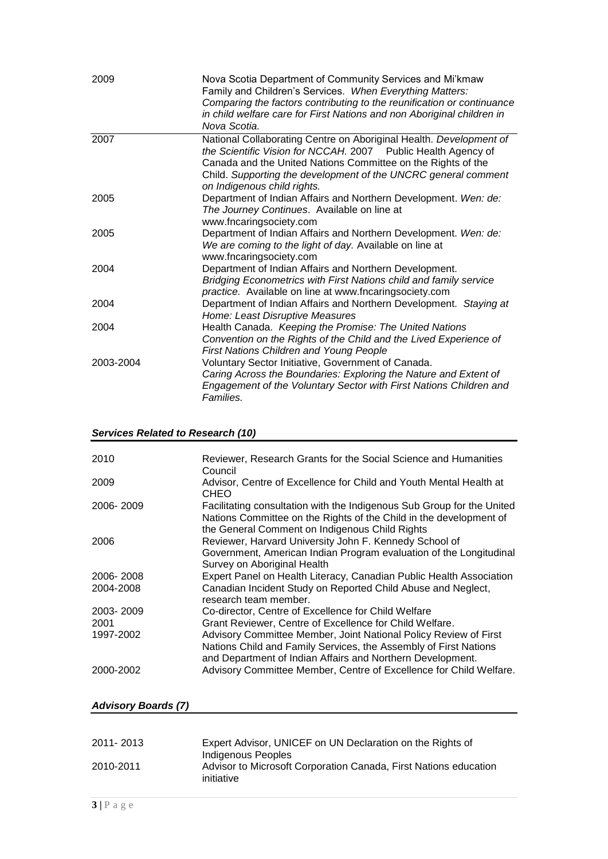| 2009      | Nova Scotia Department of Community Services and Mi'kmaw<br>Family and Children's Services. When Everything Matters:<br>Comparing the factors contributing to the reunification or continuance<br>in child welfare care for First Nations and non Aboriginal children in<br>Nova Scotia.             |
|-----------|------------------------------------------------------------------------------------------------------------------------------------------------------------------------------------------------------------------------------------------------------------------------------------------------------|
| 2007      | National Collaborating Centre on Aboriginal Health. Development of<br>the Scientific Vision for NCCAH. 2007 Public Health Agency of<br>Canada and the United Nations Committee on the Rights of the<br>Child. Supporting the development of the UNCRC general comment<br>on Indigenous child rights. |
| 2005      | Department of Indian Affairs and Northern Development. Wen: de:<br>The Journey Continues. Available on line at<br>www.fncaringsociety.com                                                                                                                                                            |
| 2005      | Department of Indian Affairs and Northern Development. Wen: de:<br>We are coming to the light of day. Available on line at<br>www.fncaringsociety.com                                                                                                                                                |
| 2004      | Department of Indian Affairs and Northern Development.<br>Bridging Econometrics with First Nations child and family service<br>practice. Available on line at www.fncaringsociety.com                                                                                                                |
| 2004      | Department of Indian Affairs and Northern Development. Staying at<br>Home: Least Disruptive Measures                                                                                                                                                                                                 |
| 2004      | Health Canada. Keeping the Promise: The United Nations<br>Convention on the Rights of the Child and the Lived Experience of<br>First Nations Children and Young People                                                                                                                               |
| 2003-2004 | Voluntary Sector Initiative, Government of Canada.<br>Caring Across the Boundaries: Exploring the Nature and Extent of<br>Engagement of the Voluntary Sector with First Nations Children and<br>Families.                                                                                            |

#### *Services Related to Research (10)*

| 2010      | Reviewer, Research Grants for the Social Science and Humanities<br>Council                                                                                                                         |
|-----------|----------------------------------------------------------------------------------------------------------------------------------------------------------------------------------------------------|
| 2009      | Advisor, Centre of Excellence for Child and Youth Mental Health at<br><b>CHEO</b>                                                                                                                  |
| 2006-2009 | Facilitating consultation with the Indigenous Sub Group for the United<br>Nations Committee on the Rights of the Child in the development of<br>the General Comment on Indigenous Child Rights     |
| 2006      | Reviewer, Harvard University John F. Kennedy School of<br>Government, American Indian Program evaluation of the Longitudinal<br>Survey on Aboriginal Health                                        |
| 2006-2008 | Expert Panel on Health Literacy, Canadian Public Health Association                                                                                                                                |
| 2004-2008 | Canadian Incident Study on Reported Child Abuse and Neglect,<br>research team member.                                                                                                              |
| 2003-2009 | Co-director, Centre of Excellence for Child Welfare                                                                                                                                                |
| 2001      | Grant Reviewer, Centre of Excellence for Child Welfare.                                                                                                                                            |
| 1997-2002 | Advisory Committee Member, Joint National Policy Review of First<br>Nations Child and Family Services, the Assembly of First Nations<br>and Department of Indian Affairs and Northern Development. |
| 2000-2002 | Advisory Committee Member, Centre of Excellence for Child Welfare.                                                                                                                                 |

### *Advisory Boards (7)*

| 2011-2013 | Expert Advisor, UNICEF on UN Declaration on the Rights of                      |
|-----------|--------------------------------------------------------------------------------|
|           | Indigenous Peoples                                                             |
| 2010-2011 | Advisor to Microsoft Corporation Canada, First Nations education<br>initiative |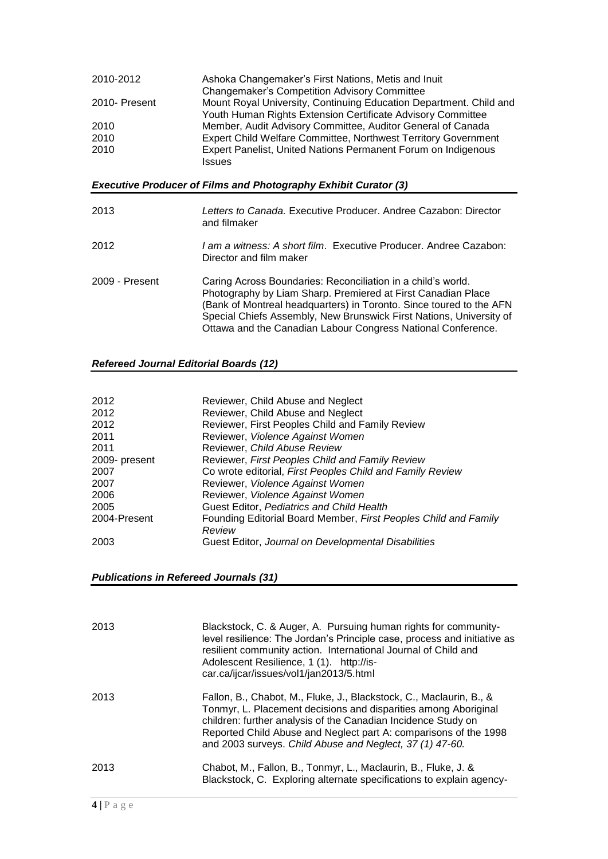| 2010-2012                                                              | Ashoka Changemaker's First Nations, Metis and Inuit<br><b>Changemaker's Competition Advisory Committee</b>                                                                                                                                                                                                                                 |  |
|------------------------------------------------------------------------|--------------------------------------------------------------------------------------------------------------------------------------------------------------------------------------------------------------------------------------------------------------------------------------------------------------------------------------------|--|
| 2010- Present                                                          | Mount Royal University, Continuing Education Department. Child and<br>Youth Human Rights Extension Certificate Advisory Committee                                                                                                                                                                                                          |  |
| 2010                                                                   | Member, Audit Advisory Committee, Auditor General of Canada                                                                                                                                                                                                                                                                                |  |
| 2010                                                                   | Expert Child Welfare Committee, Northwest Territory Government                                                                                                                                                                                                                                                                             |  |
| 2010                                                                   | Expert Panelist, United Nations Permanent Forum on Indigenous<br><b>Issues</b>                                                                                                                                                                                                                                                             |  |
| <b>Executive Producer of Films and Photography Exhibit Curator (3)</b> |                                                                                                                                                                                                                                                                                                                                            |  |
| 2013                                                                   | Letters to Canada. Executive Producer. Andree Cazabon: Director<br>and filmaker                                                                                                                                                                                                                                                            |  |
| 2012                                                                   | I am a witness: A short film. Executive Producer, Andree Cazabon:<br>Director and film maker                                                                                                                                                                                                                                               |  |
| 2009 - Present                                                         | Caring Across Boundaries: Reconciliation in a child's world.<br>Photography by Liam Sharp. Premiered at First Canadian Place<br>(Bank of Montreal headquarters) in Toronto. Since toured to the AFN<br>Special Chiefs Assembly, New Brunswick First Nations, University of<br>Ottawa and the Canadian Labour Congress National Conference. |  |

## *Refereed Journal Editorial Boards (12)*

| 2012          | Reviewer, Child Abuse and Neglect                               |
|---------------|-----------------------------------------------------------------|
| 2012          | Reviewer, Child Abuse and Neglect                               |
| 2012          | Reviewer, First Peoples Child and Family Review                 |
| 2011          | Reviewer, Violence Against Women                                |
| 2011          | Reviewer, Child Abuse Review                                    |
| 2009- present | Reviewer, First Peoples Child and Family Review                 |
| 2007          | Co wrote editorial, First Peoples Child and Family Review       |
| 2007          | Reviewer, Violence Against Women                                |
| 2006          | Reviewer, Violence Against Women                                |
| 2005          | Guest Editor, Pediatrics and Child Health                       |
| 2004-Present  | Founding Editorial Board Member, First Peoples Child and Family |
|               | Review                                                          |
| 2003          | Guest Editor, Journal on Developmental Disabilities             |

#### *Publications in Refereed Journals (31)*

| 2013 | Blackstock, C. & Auger, A. Pursuing human rights for community-<br>level resilience: The Jordan's Principle case, process and initiative as<br>resilient community action. International Journal of Child and<br>Adolescent Resilience, 1 (1). http://is-<br>car.ca/ijcar/issues/vol1/jan2013/5.html                                    |
|------|-----------------------------------------------------------------------------------------------------------------------------------------------------------------------------------------------------------------------------------------------------------------------------------------------------------------------------------------|
| 2013 | Fallon, B., Chabot, M., Fluke, J., Blackstock, C., Maclaurin, B., &<br>Tonmyr, L. Placement decisions and disparities among Aboriginal<br>children: further analysis of the Canadian Incidence Study on<br>Reported Child Abuse and Neglect part A: comparisons of the 1998<br>and 2003 surveys. Child Abuse and Neglect, 37 (1) 47-60. |
| 2013 | Chabot, M., Fallon, B., Tonmyr, L., Maclaurin, B., Fluke, J. &<br>Blackstock, C. Exploring alternate specifications to explain agency-                                                                                                                                                                                                  |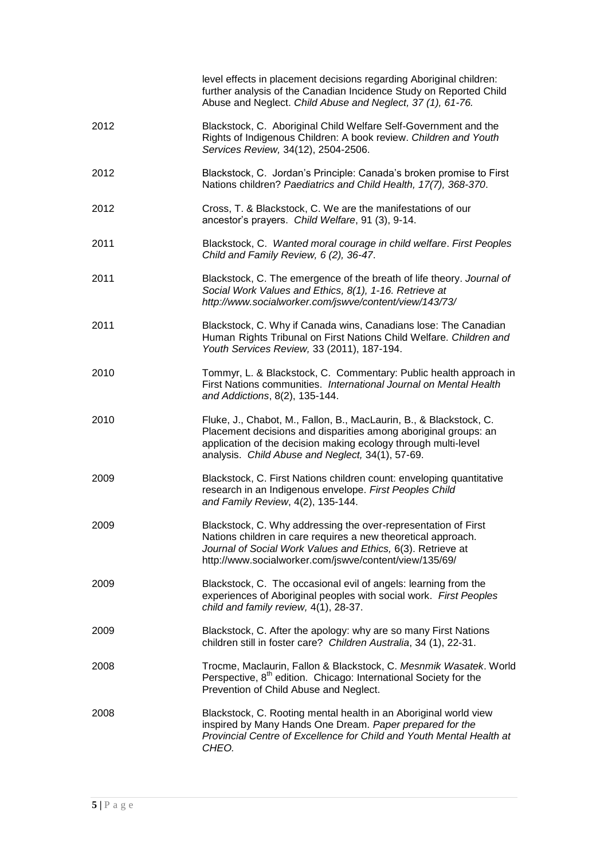|      | level effects in placement decisions regarding Aboriginal children:<br>further analysis of the Canadian Incidence Study on Reported Child<br>Abuse and Neglect. Child Abuse and Neglect, 37 (1), 61-76.                                                     |
|------|-------------------------------------------------------------------------------------------------------------------------------------------------------------------------------------------------------------------------------------------------------------|
| 2012 | Blackstock, C. Aboriginal Child Welfare Self-Government and the<br>Rights of Indigenous Children: A book review. Children and Youth<br>Services Review, 34(12), 2504-2506.                                                                                  |
| 2012 | Blackstock, C. Jordan's Principle: Canada's broken promise to First<br>Nations children? Paediatrics and Child Health, 17(7), 368-370.                                                                                                                      |
| 2012 | Cross, T. & Blackstock, C. We are the manifestations of our<br>ancestor's prayers. Child Welfare, 91 (3), 9-14.                                                                                                                                             |
| 2011 | Blackstock, C. Wanted moral courage in child welfare. First Peoples<br>Child and Family Review, 6 (2), 36-47.                                                                                                                                               |
| 2011 | Blackstock, C. The emergence of the breath of life theory. Journal of<br>Social Work Values and Ethics, 8(1), 1-16. Retrieve at<br>http://www.socialworker.com/jswve/content/view/143/73/                                                                   |
| 2011 | Blackstock, C. Why if Canada wins, Canadians lose: The Canadian<br>Human Rights Tribunal on First Nations Child Welfare. Children and<br>Youth Services Review, 33 (2011), 187-194.                                                                         |
| 2010 | Tommyr, L. & Blackstock, C. Commentary: Public health approach in<br>First Nations communities. International Journal on Mental Health<br>and Addictions, 8(2), 135-144.                                                                                    |
| 2010 | Fluke, J., Chabot, M., Fallon, B., MacLaurin, B., & Blackstock, C.<br>Placement decisions and disparities among aboriginal groups: an<br>application of the decision making ecology through multi-level<br>analysis. Child Abuse and Neglect, 34(1), 57-69. |
| 2009 | Blackstock, C. First Nations children count: enveloping quantitative<br>research in an Indigenous envelope. First Peoples Child<br>and Family Review, 4(2), 135-144.                                                                                        |
| 2009 | Blackstock, C. Why addressing the over-representation of First<br>Nations children in care requires a new theoretical approach.<br>Journal of Social Work Values and Ethics, 6(3). Retrieve at<br>http://www.socialworker.com/jswve/content/view/135/69/    |
| 2009 | Blackstock, C. The occasional evil of angels: learning from the<br>experiences of Aboriginal peoples with social work. First Peoples<br>child and family review, 4(1), 28-37.                                                                               |
| 2009 | Blackstock, C. After the apology: why are so many First Nations<br>children still in foster care? Children Australia, 34 (1), 22-31.                                                                                                                        |
| 2008 | Trocme, Maclaurin, Fallon & Blackstock, C. Mesnmik Wasatek. World<br>Perspective, 8 <sup>th</sup> edition. Chicago: International Society for the<br>Prevention of Child Abuse and Neglect.                                                                 |
| 2008 | Blackstock, C. Rooting mental health in an Aboriginal world view<br>inspired by Many Hands One Dream. Paper prepared for the<br>Provincial Centre of Excellence for Child and Youth Mental Health at<br>CHEO.                                               |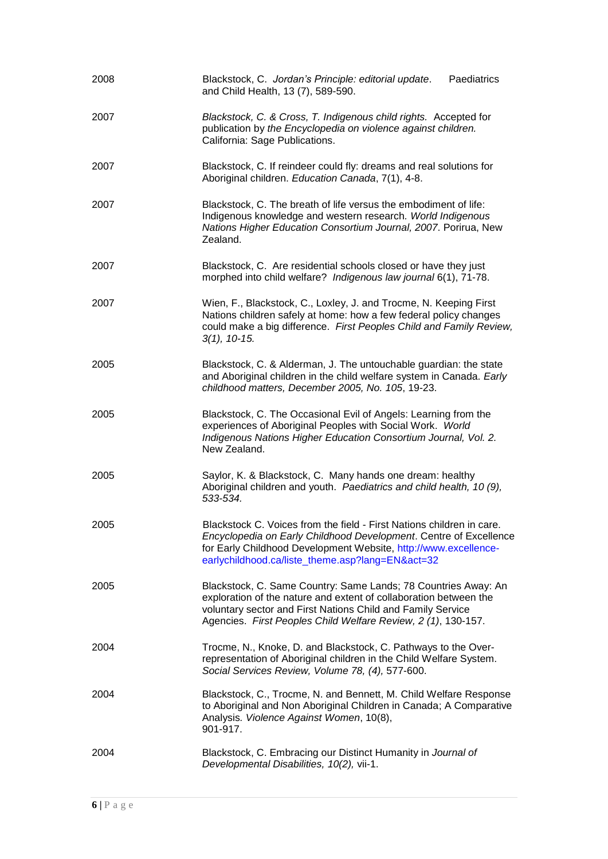| 2008 | Paediatrics<br>Blackstock, C. Jordan's Principle: editorial update.<br>and Child Health, 13 (7), 589-590.                                                                                                                                                           |
|------|---------------------------------------------------------------------------------------------------------------------------------------------------------------------------------------------------------------------------------------------------------------------|
| 2007 | Blackstock, C. & Cross, T. Indigenous child rights. Accepted for<br>publication by the Encyclopedia on violence against children.<br>California: Sage Publications.                                                                                                 |
| 2007 | Blackstock, C. If reindeer could fly: dreams and real solutions for<br>Aboriginal children. Education Canada, 7(1), 4-8.                                                                                                                                            |
| 2007 | Blackstock, C. The breath of life versus the embodiment of life:<br>Indigenous knowledge and western research. World Indigenous<br>Nations Higher Education Consortium Journal, 2007. Porirua, New<br>Zealand.                                                      |
| 2007 | Blackstock, C. Are residential schools closed or have they just<br>morphed into child welfare? Indigenous law journal 6(1), 71-78.                                                                                                                                  |
| 2007 | Wien, F., Blackstock, C., Loxley, J. and Trocme, N. Keeping First<br>Nations children safely at home: how a few federal policy changes<br>could make a big difference. First Peoples Child and Family Review,<br>$3(1), 10-15.$                                     |
| 2005 | Blackstock, C. & Alderman, J. The untouchable guardian: the state<br>and Aboriginal children in the child welfare system in Canada. Early<br>childhood matters, December 2005, No. 105, 19-23.                                                                      |
| 2005 | Blackstock, C. The Occasional Evil of Angels: Learning from the<br>experiences of Aboriginal Peoples with Social Work. World<br>Indigenous Nations Higher Education Consortium Journal, Vol. 2.<br>New Zealand.                                                     |
| 2005 | Saylor, K. & Blackstock, C. Many hands one dream: healthy<br>Aboriginal children and youth. Paediatrics and child health, 10 (9),<br>533-534.                                                                                                                       |
| 2005 | Blackstock C. Voices from the field - First Nations children in care.<br>Encyclopedia on Early Childhood Development. Centre of Excellence<br>for Early Childhood Development Website, http://www.excellence-<br>earlychildhood.ca/liste_theme.asp?lang=EN&act=32   |
| 2005 | Blackstock, C. Same Country: Same Lands; 78 Countries Away: An<br>exploration of the nature and extent of collaboration between the<br>voluntary sector and First Nations Child and Family Service<br>Agencies. First Peoples Child Welfare Review, 2 (1), 130-157. |
| 2004 | Trocme, N., Knoke, D. and Blackstock, C. Pathways to the Over-<br>representation of Aboriginal children in the Child Welfare System.<br>Social Services Review, Volume 78, (4), 577-600.                                                                            |
| 2004 | Blackstock, C., Trocme, N. and Bennett, M. Child Welfare Response<br>to Aboriginal and Non Aboriginal Children in Canada; A Comparative<br>Analysis. Violence Against Women, 10(8),<br>901-917.                                                                     |
| 2004 | Blackstock, C. Embracing our Distinct Humanity in Journal of<br>Developmental Disabilities, 10(2), vii-1.                                                                                                                                                           |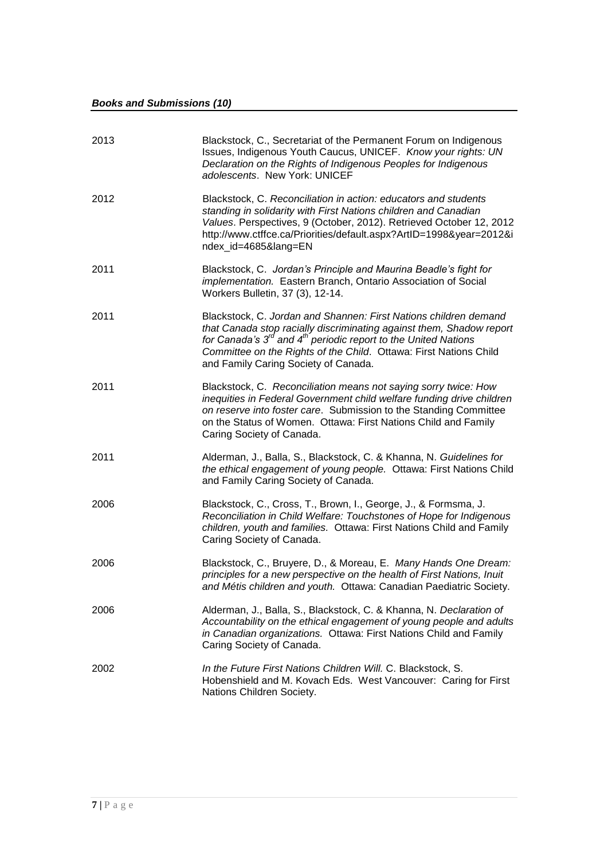| 2013 | Blackstock, C., Secretariat of the Permanent Forum on Indigenous<br>Issues, Indigenous Youth Caucus, UNICEF. Know your rights: UN<br>Declaration on the Rights of Indigenous Peoples for Indigenous<br>adolescents. New York: UNICEF                                                                                              |
|------|-----------------------------------------------------------------------------------------------------------------------------------------------------------------------------------------------------------------------------------------------------------------------------------------------------------------------------------|
| 2012 | Blackstock, C. Reconciliation in action: educators and students<br>standing in solidarity with First Nations children and Canadian<br>Values. Perspectives, 9 (October, 2012). Retrieved October 12, 2012<br>http://www.ctffce.ca/Priorities/default.aspx?ArtID=1998&year=2012&i<br>ndex_id=4685⟨=EN                              |
| 2011 | Blackstock, C. Jordan's Principle and Maurina Beadle's fight for<br>implementation. Eastern Branch, Ontario Association of Social<br>Workers Bulletin, 37 (3), 12-14.                                                                                                                                                             |
| 2011 | Blackstock, C. Jordan and Shannen: First Nations children demand<br>that Canada stop racially discriminating against them, Shadow report<br>for Canada's $3^{rd}$ and $4^{th}$ periodic report to the United Nations<br>Committee on the Rights of the Child. Ottawa: First Nations Child<br>and Family Caring Society of Canada. |
| 2011 | Blackstock, C. Reconciliation means not saying sorry twice: How<br>inequities in Federal Government child welfare funding drive children<br>on reserve into foster care. Submission to the Standing Committee<br>on the Status of Women. Ottawa: First Nations Child and Family<br>Caring Society of Canada.                      |
| 2011 | Alderman, J., Balla, S., Blackstock, C. & Khanna, N. Guidelines for<br>the ethical engagement of young people. Ottawa: First Nations Child<br>and Family Caring Society of Canada.                                                                                                                                                |
| 2006 | Blackstock, C., Cross, T., Brown, I., George, J., & Formsma, J.<br>Reconciliation in Child Welfare: Touchstones of Hope for Indigenous<br>children, youth and families. Ottawa: First Nations Child and Family<br>Caring Society of Canada.                                                                                       |
| 2006 | Blackstock, C., Bruyere, D., & Moreau, E. Many Hands One Dream:<br>principles for a new perspective on the health of First Nations, Inuit<br>and Métis children and youth. Ottawa: Canadian Paediatric Society.                                                                                                                   |
| 2006 | Alderman, J., Balla, S., Blackstock, C. & Khanna, N. Declaration of<br>Accountability on the ethical engagement of young people and adults<br>in Canadian organizations. Ottawa: First Nations Child and Family<br>Caring Society of Canada.                                                                                      |
| 2002 | In the Future First Nations Children Will. C. Blackstock, S.<br>Hobenshield and M. Kovach Eds. West Vancouver: Caring for First<br>Nations Children Society.                                                                                                                                                                      |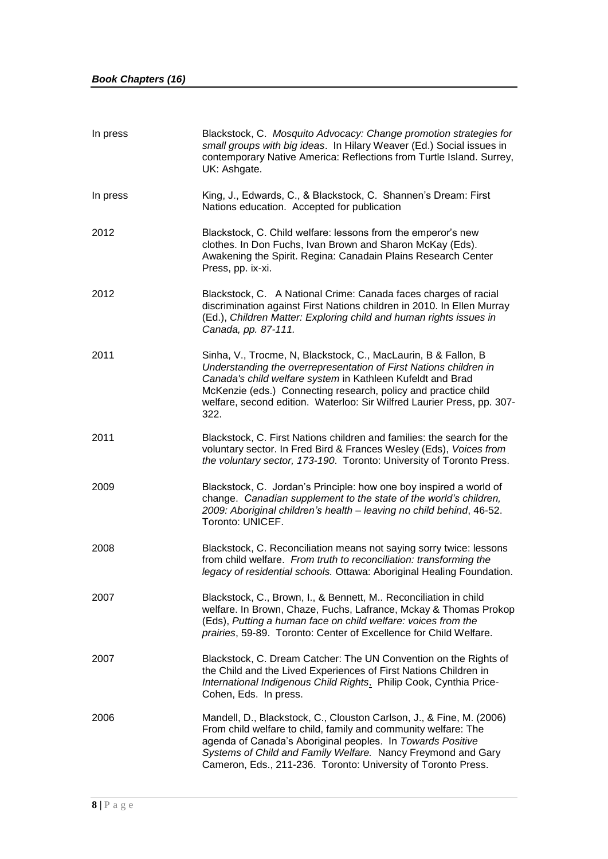| In press | Blackstock, C. Mosquito Advocacy: Change promotion strategies for<br>small groups with big ideas. In Hilary Weaver (Ed.) Social issues in<br>contemporary Native America: Reflections from Turtle Island. Surrey,<br>UK: Ashgate.                                                                                                                     |
|----------|-------------------------------------------------------------------------------------------------------------------------------------------------------------------------------------------------------------------------------------------------------------------------------------------------------------------------------------------------------|
| In press | King, J., Edwards, C., & Blackstock, C. Shannen's Dream: First<br>Nations education. Accepted for publication                                                                                                                                                                                                                                         |
| 2012     | Blackstock, C. Child welfare: lessons from the emperor's new<br>clothes. In Don Fuchs, Ivan Brown and Sharon McKay (Eds).<br>Awakening the Spirit. Regina: Canadain Plains Research Center<br>Press, pp. ix-xi.                                                                                                                                       |
| 2012     | Blackstock, C. A National Crime: Canada faces charges of racial<br>discrimination against First Nations children in 2010. In Ellen Murray<br>(Ed.), Children Matter: Exploring child and human rights issues in<br>Canada, pp. 87-111.                                                                                                                |
| 2011     | Sinha, V., Trocme, N, Blackstock, C., MacLaurin, B & Fallon, B<br>Understanding the overrepresentation of First Nations children in<br>Canada's child welfare system in Kathleen Kufeldt and Brad<br>McKenzie (eds.) Connecting research, policy and practice child<br>welfare, second edition. Waterloo: Sir Wilfred Laurier Press, pp. 307-<br>322. |
| 2011     | Blackstock, C. First Nations children and families: the search for the<br>voluntary sector. In Fred Bird & Frances Wesley (Eds), Voices from<br>the voluntary sector, 173-190. Toronto: University of Toronto Press.                                                                                                                                  |
| 2009     | Blackstock, C. Jordan's Principle: how one boy inspired a world of<br>change. Canadian supplement to the state of the world's children,<br>2009: Aboriginal children's health - leaving no child behind, 46-52.<br>Toronto: UNICEF.                                                                                                                   |
| 2008     | Blackstock, C. Reconciliation means not saying sorry twice: lessons<br>from child welfare. From truth to reconciliation: transforming the<br>legacy of residential schools. Ottawa: Aboriginal Healing Foundation.                                                                                                                                    |
| 2007     | Blackstock, C., Brown, I., & Bennett, M Reconciliation in child<br>welfare. In Brown, Chaze, Fuchs, Lafrance, Mckay & Thomas Prokop<br>(Eds), Putting a human face on child welfare: voices from the<br>prairies, 59-89. Toronto: Center of Excellence for Child Welfare.                                                                             |
| 2007     | Blackstock, C. Dream Catcher: The UN Convention on the Rights of<br>the Child and the Lived Experiences of First Nations Children in<br>International Indigenous Child Rights. Philip Cook, Cynthia Price-<br>Cohen, Eds. In press.                                                                                                                   |
| 2006     | Mandell, D., Blackstock, C., Clouston Carlson, J., & Fine, M. (2006)<br>From child welfare to child, family and community welfare: The<br>agenda of Canada's Aboriginal peoples. In Towards Positive<br>Systems of Child and Family Welfare. Nancy Freymond and Gary<br>Cameron, Eds., 211-236. Toronto: University of Toronto Press.                 |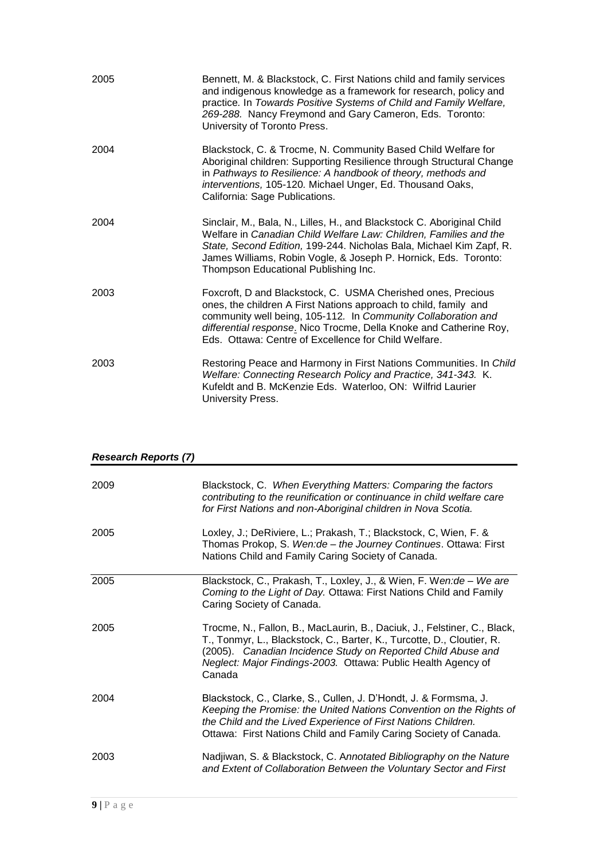| 2005 | Bennett, M. & Blackstock, C. First Nations child and family services<br>and indigenous knowledge as a framework for research, policy and<br>practice. In Towards Positive Systems of Child and Family Welfare,<br>269-288. Nancy Freymond and Gary Cameron, Eds. Toronto:<br>University of Toronto Press.                       |
|------|---------------------------------------------------------------------------------------------------------------------------------------------------------------------------------------------------------------------------------------------------------------------------------------------------------------------------------|
| 2004 | Blackstock, C. & Trocme, N. Community Based Child Welfare for<br>Aboriginal children: Supporting Resilience through Structural Change<br>in Pathways to Resilience: A handbook of theory, methods and<br>interventions, 105-120. Michael Unger, Ed. Thousand Oaks,<br>California: Sage Publications.                            |
| 2004 | Sinclair, M., Bala, N., Lilles, H., and Blackstock C. Aboriginal Child<br>Welfare in Canadian Child Welfare Law: Children, Families and the<br>State, Second Edition, 199-244. Nicholas Bala, Michael Kim Zapf, R.<br>James Williams, Robin Vogle, & Joseph P. Hornick, Eds. Toronto:<br>Thompson Educational Publishing Inc.   |
| 2003 | Foxcroft, D and Blackstock, C. USMA Cherished ones, Precious<br>ones, the children A First Nations approach to child, family and<br>community well being, 105-112. In Community Collaboration and<br>differential response. Nico Trocme, Della Knoke and Catherine Roy,<br>Eds. Ottawa: Centre of Excellence for Child Welfare. |
| 2003 | Restoring Peace and Harmony in First Nations Communities. In Child<br>Welfare: Connecting Research Policy and Practice, 341-343. K.<br>Kufeldt and B. McKenzie Eds. Waterloo, ON: Wilfrid Laurier<br>University Press.                                                                                                          |

| <b>Research Reports (7)</b> |                                                                                                                                                                                                                                                                                               |
|-----------------------------|-----------------------------------------------------------------------------------------------------------------------------------------------------------------------------------------------------------------------------------------------------------------------------------------------|
| 2009                        | Blackstock, C. When Everything Matters: Comparing the factors<br>contributing to the reunification or continuance in child welfare care<br>for First Nations and non-Aboriginal children in Nova Scotia.                                                                                      |
| 2005                        | Loxley, J.; DeRiviere, L.; Prakash, T.; Blackstock, C, Wien, F. &<br>Thomas Prokop, S. Wen:de - the Journey Continues. Ottawa: First<br>Nations Child and Family Caring Society of Canada.                                                                                                    |
| 2005                        | Blackstock, C., Prakash, T., Loxley, J., & Wien, F. Wen: de - We are<br>Coming to the Light of Day. Ottawa: First Nations Child and Family<br>Caring Society of Canada.                                                                                                                       |
| 2005                        | Trocme, N., Fallon, B., MacLaurin, B., Daciuk, J., Felstiner, C., Black,<br>T., Tonmyr, L., Blackstock, C., Barter, K., Turcotte, D., Cloutier, R.<br>(2005). Canadian Incidence Study on Reported Child Abuse and<br>Neglect: Major Findings-2003. Ottawa: Public Health Agency of<br>Canada |
| 2004                        | Blackstock, C., Clarke, S., Cullen, J. D'Hondt, J. & Formsma, J.<br>Keeping the Promise: the United Nations Convention on the Rights of<br>the Child and the Lived Experience of First Nations Children.<br>Ottawa: First Nations Child and Family Caring Society of Canada.                  |
| 2003                        | Nadjiwan, S. & Blackstock, C. Annotated Bibliography on the Nature<br>and Extent of Collaboration Between the Voluntary Sector and First                                                                                                                                                      |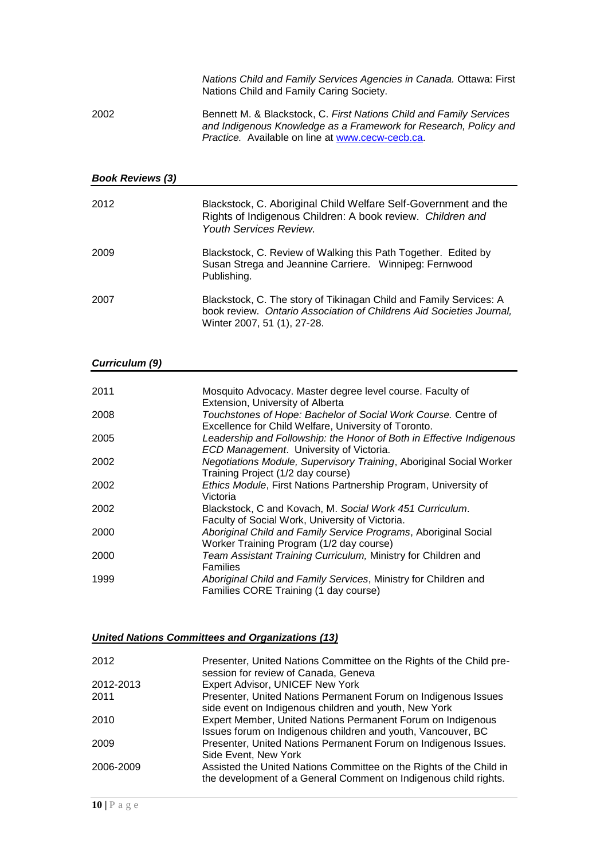|      | Nations Child and Family Services Agencies in Canada. Ottawa: First<br>Nations Child and Family Caring Society.                                                                                    |
|------|----------------------------------------------------------------------------------------------------------------------------------------------------------------------------------------------------|
| 2002 | Bennett M. & Blackstock, C. First Nations Child and Family Services<br>and Indigenous Knowledge as a Framework for Research, Policy and<br><i>Practice.</i> Available on line at www.cecw-cecb.ca. |

#### *Book Reviews (3)*

| 2012 | Blackstock, C. Aboriginal Child Welfare Self-Government and the<br>Rights of Indigenous Children: A book review. Children and<br><b>Youth Services Review.</b>            |
|------|---------------------------------------------------------------------------------------------------------------------------------------------------------------------------|
| 2009 | Blackstock, C. Review of Walking this Path Together. Edited by<br>Susan Strega and Jeannine Carriere. Winnipeg: Fernwood<br>Publishing.                                   |
| 2007 | Blackstock, C. The story of Tikinagan Child and Family Services: A<br>book review. Ontario Association of Childrens Aid Societies Journal,<br>Winter 2007, 51 (1), 27-28. |

#### *Curriculum (9)*

| 2011 | Mosquito Advocacy. Master degree level course. Faculty of                                                                                                  |
|------|------------------------------------------------------------------------------------------------------------------------------------------------------------|
| 2008 | Extension, University of Alberta<br>Touchstones of Hope: Bachelor of Social Work Course. Centre of<br>Excellence for Child Welfare, University of Toronto. |
| 2005 | Leadership and Followship: the Honor of Both in Effective Indigenous<br>ECD Management. University of Victoria.                                            |
| 2002 | Negotiations Module, Supervisory Training, Aboriginal Social Worker<br>Training Project (1/2 day course)                                                   |
| 2002 | Ethics Module, First Nations Partnership Program, University of<br>Victoria                                                                                |
| 2002 | Blackstock, C and Kovach, M. Social Work 451 Curriculum.<br>Faculty of Social Work, University of Victoria.                                                |
| 2000 | Aboriginal Child and Family Service Programs, Aboriginal Social<br>Worker Training Program (1/2 day course)                                                |
| 2000 | Team Assistant Training Curriculum, Ministry for Children and<br><b>Families</b>                                                                           |
| 1999 | Aboriginal Child and Family Services, Ministry for Children and<br>Families CORE Training (1 day course)                                                   |

## *United Nations Committees and Organizations (13)*

| 2012      | Presenter, United Nations Committee on the Rights of the Child pre-<br>session for review of Canada, Geneva                             |
|-----------|-----------------------------------------------------------------------------------------------------------------------------------------|
| 2012-2013 | Expert Advisor, UNICEF New York                                                                                                         |
| 2011      | Presenter, United Nations Permanent Forum on Indigenous Issues                                                                          |
|           | side event on Indigenous children and youth, New York                                                                                   |
| 2010      | Expert Member, United Nations Permanent Forum on Indigenous<br>Issues forum on Indigenous children and youth, Vancouver, BC             |
| 2009      | Presenter, United Nations Permanent Forum on Indigenous Issues.<br>Side Event, New York                                                 |
| 2006-2009 | Assisted the United Nations Committee on the Rights of the Child in<br>the development of a General Comment on Indigenous child rights. |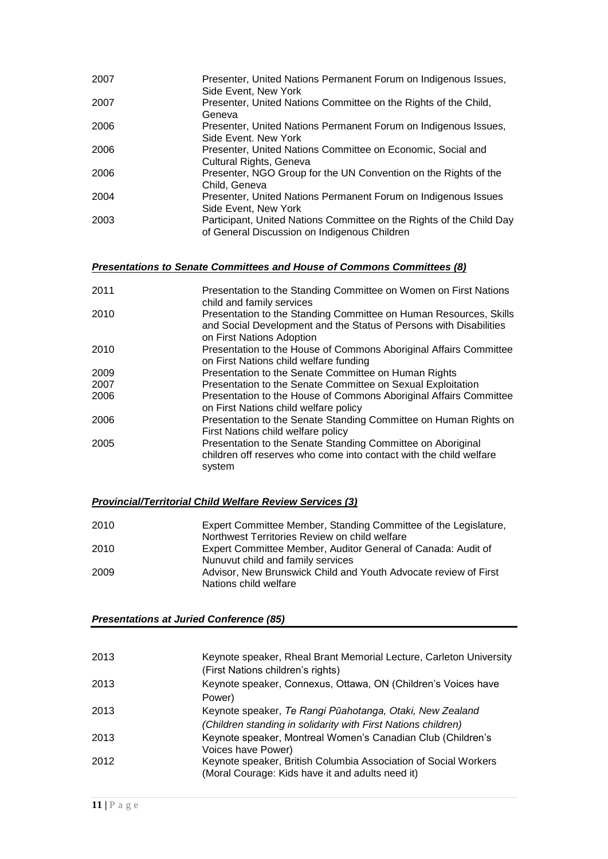| 2007 | Presenter, United Nations Permanent Forum on Indigenous Issues,      |
|------|----------------------------------------------------------------------|
|      | Side Event, New York                                                 |
| 2007 | Presenter, United Nations Committee on the Rights of the Child,      |
|      | Geneva                                                               |
| 2006 | Presenter, United Nations Permanent Forum on Indigenous Issues,      |
|      | Side Event, New York                                                 |
| 2006 | Presenter, United Nations Committee on Economic, Social and          |
|      | Cultural Rights, Geneva                                              |
| 2006 | Presenter, NGO Group for the UN Convention on the Rights of the      |
|      | Child, Geneva                                                        |
| 2004 | Presenter, United Nations Permanent Forum on Indigenous Issues       |
|      | Side Event, New York                                                 |
| 2003 | Participant, United Nations Committee on the Rights of the Child Day |
|      | of General Discussion on Indigenous Children                         |

#### *Presentations to Senate Committees and House of Commons Committees (8)*

| 2011 | Presentation to the Standing Committee on Women on First Nations<br>child and family services                                                                        |
|------|----------------------------------------------------------------------------------------------------------------------------------------------------------------------|
| 2010 | Presentation to the Standing Committee on Human Resources, Skills<br>and Social Development and the Status of Persons with Disabilities<br>on First Nations Adoption |
| 2010 | Presentation to the House of Commons Aboriginal Affairs Committee<br>on First Nations child welfare funding                                                          |
| 2009 | Presentation to the Senate Committee on Human Rights                                                                                                                 |
| 2007 | Presentation to the Senate Committee on Sexual Exploitation                                                                                                          |
| 2006 | Presentation to the House of Commons Aboriginal Affairs Committee<br>on First Nations child welfare policy                                                           |
| 2006 | Presentation to the Senate Standing Committee on Human Rights on<br>First Nations child welfare policy                                                               |
| 2005 | Presentation to the Senate Standing Committee on Aboriginal<br>children off reserves who come into contact with the child welfare<br>system                          |

#### *Provincial/Territorial Child Welfare Review Services (3)*

| 2010 | Expert Committee Member, Standing Committee of the Legislature, |
|------|-----------------------------------------------------------------|
|      | Northwest Territories Review on child welfare                   |
| 2010 | Expert Committee Member, Auditor General of Canada: Audit of    |
|      | Nunuvut child and family services                               |
| 2009 | Advisor, New Brunswick Child and Youth Advocate review of First |
|      | Nations child welfare                                           |

#### *Presentations at Juried Conference (85)*

| 2013 | Keynote speaker, Rheal Brant Memorial Lecture, Carleton University<br>(First Nations children's rights)                   |
|------|---------------------------------------------------------------------------------------------------------------------------|
| 2013 | Keynote speaker, Connexus, Ottawa, ON (Children's Voices have<br>Power)                                                   |
| 2013 | Keynote speaker, Te Rangi Pūahotanga, Otaki, New Zealand<br>(Children standing in solidarity with First Nations children) |
| 2013 | Keynote speaker, Montreal Women's Canadian Club (Children's<br>Voices have Power)                                         |
| 2012 | Keynote speaker, British Columbia Association of Social Workers<br>(Moral Courage: Kids have it and adults need it)       |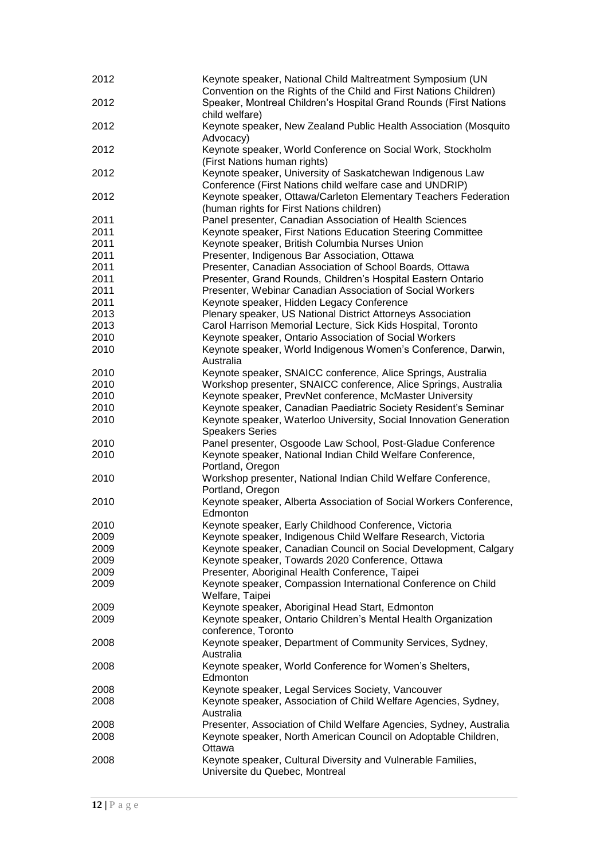| 2012 | Keynote speaker, National Child Maltreatment Symposium (UN<br>Convention on the Rights of the Child and First Nations Children) |
|------|---------------------------------------------------------------------------------------------------------------------------------|
| 2012 | Speaker, Montreal Children's Hospital Grand Rounds (First Nations<br>child welfare)                                             |
| 2012 | Keynote speaker, New Zealand Public Health Association (Mosquito<br>Advocacy)                                                   |
| 2012 | Keynote speaker, World Conference on Social Work, Stockholm<br>(First Nations human rights)                                     |
| 2012 | Keynote speaker, University of Saskatchewan Indigenous Law<br>Conference (First Nations child welfare case and UNDRIP)          |
| 2012 | Keynote speaker, Ottawa/Carleton Elementary Teachers Federation<br>(human rights for First Nations children)                    |
| 2011 | Panel presenter, Canadian Association of Health Sciences                                                                        |
| 2011 | Keynote speaker, First Nations Education Steering Committee                                                                     |
|      |                                                                                                                                 |
| 2011 | Keynote speaker, British Columbia Nurses Union                                                                                  |
| 2011 | Presenter, Indigenous Bar Association, Ottawa                                                                                   |
| 2011 | Presenter, Canadian Association of School Boards, Ottawa                                                                        |
| 2011 | Presenter, Grand Rounds, Children's Hospital Eastern Ontario                                                                    |
| 2011 | Presenter, Webinar Canadian Association of Social Workers                                                                       |
| 2011 | Keynote speaker, Hidden Legacy Conference                                                                                       |
| 2013 |                                                                                                                                 |
|      | Plenary speaker, US National District Attorneys Association                                                                     |
| 2013 | Carol Harrison Memorial Lecture, Sick Kids Hospital, Toronto                                                                    |
| 2010 | Keynote speaker, Ontario Association of Social Workers                                                                          |
| 2010 | Keynote speaker, World Indigenous Women's Conference, Darwin,<br>Australia                                                      |
| 2010 | Keynote speaker, SNAICC conference, Alice Springs, Australia                                                                    |
| 2010 | Workshop presenter, SNAICC conference, Alice Springs, Australia                                                                 |
| 2010 | Keynote speaker, PrevNet conference, McMaster University                                                                        |
| 2010 | Keynote speaker, Canadian Paediatric Society Resident's Seminar                                                                 |
| 2010 | Keynote speaker, Waterloo University, Social Innovation Generation                                                              |
|      | <b>Speakers Series</b>                                                                                                          |
| 2010 | Panel presenter, Osgoode Law School, Post-Gladue Conference                                                                     |
| 2010 | Keynote speaker, National Indian Child Welfare Conference,<br>Portland, Oregon                                                  |
| 2010 | Workshop presenter, National Indian Child Welfare Conference,<br>Portland, Oregon                                               |
| 2010 | Keynote speaker, Alberta Association of Social Workers Conference,<br>Edmonton                                                  |
| 2010 | Keynote speaker, Early Childhood Conference, Victoria                                                                           |
| 2009 | Keynote speaker, Indigenous Child Welfare Research, Victoria                                                                    |
| 2009 | Keynote speaker, Canadian Council on Social Development, Calgary                                                                |
| 2009 | Keynote speaker, Towards 2020 Conference, Ottawa                                                                                |
|      |                                                                                                                                 |
| 2009 | Presenter, Aboriginal Health Conference, Taipei                                                                                 |
| 2009 | Keynote speaker, Compassion International Conference on Child<br>Welfare, Taipei                                                |
| 2009 | Keynote speaker, Aboriginal Head Start, Edmonton                                                                                |
| 2009 | Keynote speaker, Ontario Children's Mental Health Organization<br>conference, Toronto                                           |
| 2008 | Keynote speaker, Department of Community Services, Sydney,<br>Australia                                                         |
| 2008 | Keynote speaker, World Conference for Women's Shelters,<br>Edmonton                                                             |
| 2008 | Keynote speaker, Legal Services Society, Vancouver                                                                              |
| 2008 | Keynote speaker, Association of Child Welfare Agencies, Sydney,                                                                 |
|      | Australia                                                                                                                       |
| 2008 | Presenter, Association of Child Welfare Agencies, Sydney, Australia                                                             |
| 2008 | Keynote speaker, North American Council on Adoptable Children,<br>Ottawa                                                        |
| 2008 | Keynote speaker, Cultural Diversity and Vulnerable Families,<br>Universite du Quebec, Montreal                                  |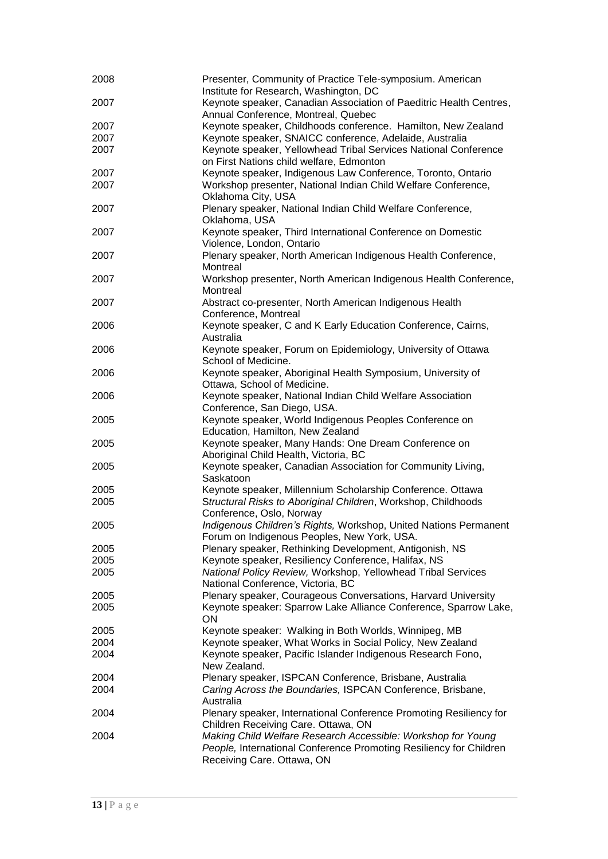| 2008 | Presenter, Community of Practice Tele-symposium. American          |
|------|--------------------------------------------------------------------|
|      | Institute for Research, Washington, DC                             |
| 2007 | Keynote speaker, Canadian Association of Paeditric Health Centres, |
|      | Annual Conference, Montreal, Quebec                                |
| 2007 | Keynote speaker, Childhoods conference. Hamilton, New Zealand      |
| 2007 | Keynote speaker, SNAICC conference, Adelaide, Australia            |
| 2007 | Keynote speaker, Yellowhead Tribal Services National Conference    |
|      | on First Nations child welfare, Edmonton                           |
| 2007 | Keynote speaker, Indigenous Law Conference, Toronto, Ontario       |
| 2007 | Workshop presenter, National Indian Child Welfare Conference,      |
|      | Oklahoma City, USA                                                 |
| 2007 | Plenary speaker, National Indian Child Welfare Conference,         |
|      | Oklahoma, USA                                                      |
| 2007 | Keynote speaker, Third International Conference on Domestic        |
|      | Violence, London, Ontario                                          |
| 2007 | Plenary speaker, North American Indigenous Health Conference,      |
|      | Montreal                                                           |
| 2007 | Workshop presenter, North American Indigenous Health Conference,   |
|      | Montreal                                                           |
| 2007 | Abstract co-presenter, North American Indigenous Health            |
|      | Conference, Montreal                                               |
| 2006 | Keynote speaker, C and K Early Education Conference, Cairns,       |
|      | Australia                                                          |
| 2006 | Keynote speaker, Forum on Epidemiology, University of Ottawa       |
|      | School of Medicine.                                                |
| 2006 | Keynote speaker, Aboriginal Health Symposium, University of        |
|      | Ottawa, School of Medicine.                                        |
| 2006 | Keynote speaker, National Indian Child Welfare Association         |
|      | Conference, San Diego, USA.                                        |
| 2005 | Keynote speaker, World Indigenous Peoples Conference on            |
|      | Education, Hamilton, New Zealand                                   |
| 2005 | Keynote speaker, Many Hands: One Dream Conference on               |
|      | Aboriginal Child Health, Victoria, BC                              |
| 2005 | Keynote speaker, Canadian Association for Community Living,        |
|      | Saskatoon                                                          |
| 2005 | Keynote speaker, Millennium Scholarship Conference. Ottawa         |
| 2005 | Structural Risks to Aboriginal Children, Workshop, Childhoods      |
|      | Conference, Oslo, Norway                                           |
| 2005 | Indigenous Children's Rights, Workshop, United Nations Permanent   |
|      | Forum on Indigenous Peoples, New York, USA.                        |
| 2005 | Plenary speaker, Rethinking Development, Antigonish, NS            |
| 2005 | Keynote speaker, Resiliency Conference, Halifax, NS                |
| 2005 | National Policy Review, Workshop, Yellowhead Tribal Services       |
|      | National Conference, Victoria, BC                                  |
| 2005 | Plenary speaker, Courageous Conversations, Harvard University      |
| 2005 | Keynote speaker: Sparrow Lake Alliance Conference, Sparrow Lake,   |
|      | ON                                                                 |
| 2005 | Keynote speaker: Walking in Both Worlds, Winnipeg, MB              |
| 2004 | Keynote speaker, What Works in Social Policy, New Zealand          |
| 2004 | Keynote speaker, Pacific Islander Indigenous Research Fono,        |
|      | New Zealand.                                                       |
| 2004 | Plenary speaker, ISPCAN Conference, Brisbane, Australia            |
| 2004 | Caring Across the Boundaries, ISPCAN Conference, Brisbane,         |
|      | Australia                                                          |
| 2004 | Plenary speaker, International Conference Promoting Resiliency for |
|      | Children Receiving Care. Ottawa, ON                                |
| 2004 | Making Child Welfare Research Accessible: Workshop for Young       |
|      | People, International Conference Promoting Resiliency for Children |
|      | Receiving Care. Ottawa, ON                                         |
|      |                                                                    |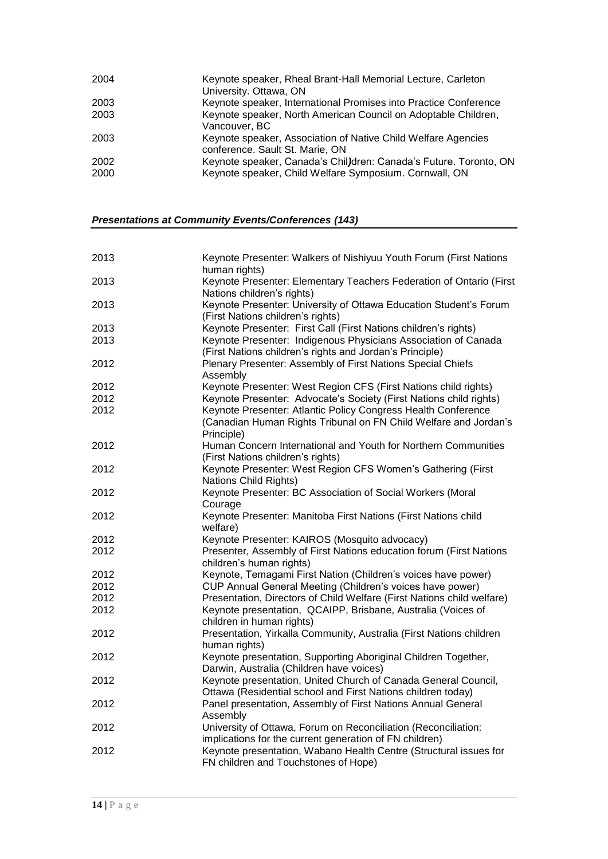| 2004         | Keynote speaker, Rheal Brant-Hall Memorial Lecture, Carleton<br>University. Ottawa, ON                                      |
|--------------|-----------------------------------------------------------------------------------------------------------------------------|
| 2003         | Keynote speaker, International Promises into Practice Conference                                                            |
| 2003         | Keynote speaker, North American Council on Adoptable Children,<br>Vancouver, BC                                             |
| 2003         | Keynote speaker, Association of Native Child Welfare Agencies<br>conference. Sault St. Marie, ON                            |
| 2002<br>2000 | Keynote speaker, Canada's Chil)dren: Canada's Future. Toronto, ON<br>Keynote speaker, Child Welfare Symposium. Cornwall, ON |
|              |                                                                                                                             |

*Presentations at Community Events/Conferences (143)*

| 2013 | Keynote Presenter: Walkers of Nishiyuu Youth Forum (First Nations<br>human rights)                                                              |
|------|-------------------------------------------------------------------------------------------------------------------------------------------------|
| 2013 | Keynote Presenter: Elementary Teachers Federation of Ontario (First                                                                             |
|      | Nations children's rights)                                                                                                                      |
| 2013 | Keynote Presenter: University of Ottawa Education Student's Forum<br>(First Nations children's rights)                                          |
| 2013 | Keynote Presenter: First Call (First Nations children's rights)                                                                                 |
| 2013 | Keynote Presenter: Indigenous Physicians Association of Canada<br>(First Nations children's rights and Jordan's Principle)                      |
| 2012 | Plenary Presenter: Assembly of First Nations Special Chiefs<br>Assembly                                                                         |
| 2012 | Keynote Presenter: West Region CFS (First Nations child rights)                                                                                 |
| 2012 | Keynote Presenter: Advocate's Society (First Nations child rights)                                                                              |
| 2012 | Keynote Presenter: Atlantic Policy Congress Health Conference<br>(Canadian Human Rights Tribunal on FN Child Welfare and Jordan's<br>Principle) |
| 2012 | Human Concern International and Youth for Northern Communities<br>(First Nations children's rights)                                             |
| 2012 | Keynote Presenter: West Region CFS Women's Gathering (First<br>Nations Child Rights)                                                            |
| 2012 | Keynote Presenter: BC Association of Social Workers (Moral<br>Courage                                                                           |
| 2012 | Keynote Presenter: Manitoba First Nations (First Nations child<br>welfare)                                                                      |
| 2012 | Keynote Presenter: KAIROS (Mosquito advocacy)                                                                                                   |
| 2012 | Presenter, Assembly of First Nations education forum (First Nations<br>children's human rights)                                                 |
| 2012 | Keynote, Temagami First Nation (Children's voices have power)                                                                                   |
| 2012 | CUP Annual General Meeting (Children's voices have power)                                                                                       |
| 2012 | Presentation, Directors of Child Welfare (First Nations child welfare)                                                                          |
| 2012 | Keynote presentation, QCAIPP, Brisbane, Australia (Voices of<br>children in human rights)                                                       |
| 2012 | Presentation, Yirkalla Community, Australia (First Nations children<br>human rights)                                                            |
| 2012 | Keynote presentation, Supporting Aboriginal Children Together,<br>Darwin, Australia (Children have voices)                                      |
| 2012 | Keynote presentation, United Church of Canada General Council,<br>Ottawa (Residential school and First Nations children today)                  |
| 2012 | Panel presentation, Assembly of First Nations Annual General<br>Assembly                                                                        |
| 2012 | University of Ottawa, Forum on Reconciliation (Reconciliation:<br>implications for the current generation of FN children)                       |
| 2012 | Keynote presentation, Wabano Health Centre (Structural issues for<br>FN children and Touchstones of Hope)                                       |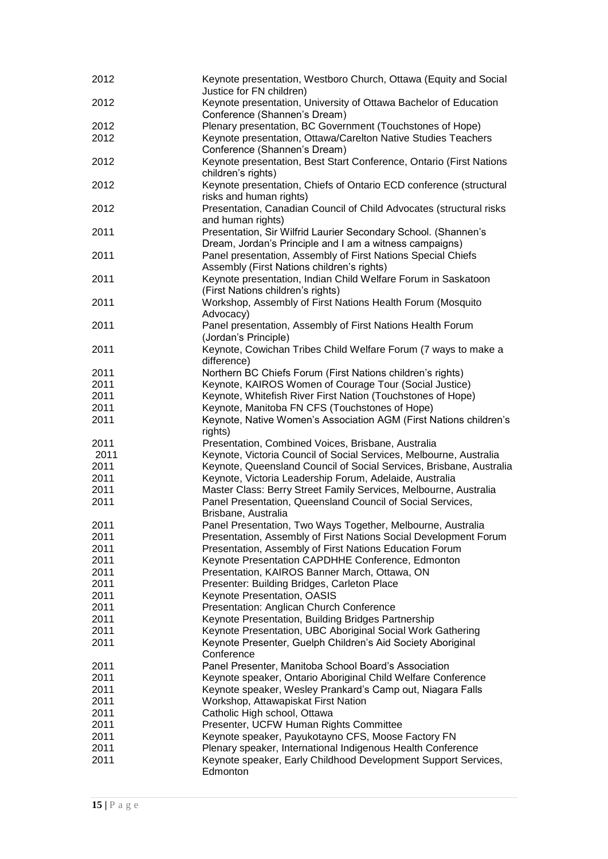| 2012 | Keynote presentation, Westboro Church, Ottawa (Equity and Social<br>Justice for FN children)                              |
|------|---------------------------------------------------------------------------------------------------------------------------|
| 2012 | Keynote presentation, University of Ottawa Bachelor of Education<br>Conference (Shannen's Dream)                          |
| 2012 | Plenary presentation, BC Government (Touchstones of Hope)                                                                 |
| 2012 | Keynote presentation, Ottawa/Carelton Native Studies Teachers                                                             |
|      | Conference (Shannen's Dream)                                                                                              |
| 2012 | Keynote presentation, Best Start Conference, Ontario (First Nations<br>children's rights)                                 |
| 2012 | Keynote presentation, Chiefs of Ontario ECD conference (structural<br>risks and human rights)                             |
| 2012 | Presentation, Canadian Council of Child Advocates (structural risks<br>and human rights)                                  |
| 2011 | Presentation, Sir Wilfrid Laurier Secondary School. (Shannen's<br>Dream, Jordan's Principle and I am a witness campaigns) |
| 2011 | Panel presentation, Assembly of First Nations Special Chiefs                                                              |
|      | Assembly (First Nations children's rights)                                                                                |
| 2011 | Keynote presentation, Indian Child Welfare Forum in Saskatoon<br>(First Nations children's rights)                        |
| 2011 | Workshop, Assembly of First Nations Health Forum (Mosquito<br>Advocacy)                                                   |
| 2011 | Panel presentation, Assembly of First Nations Health Forum                                                                |
|      | (Jordan's Principle)                                                                                                      |
| 2011 | Keynote, Cowichan Tribes Child Welfare Forum (7 ways to make a                                                            |
|      | difference)                                                                                                               |
| 2011 | Northern BC Chiefs Forum (First Nations children's rights)                                                                |
| 2011 | Keynote, KAIROS Women of Courage Tour (Social Justice)                                                                    |
| 2011 | Keynote, Whitefish River First Nation (Touchstones of Hope)                                                               |
| 2011 | Keynote, Manitoba FN CFS (Touchstones of Hope)                                                                            |
| 2011 | Keynote, Native Women's Association AGM (First Nations children's                                                         |
|      | rights)                                                                                                                   |
| 2011 |                                                                                                                           |
| 2011 | Presentation, Combined Voices, Brisbane, Australia                                                                        |
|      | Keynote, Victoria Council of Social Services, Melbourne, Australia                                                        |
| 2011 | Keynote, Queensland Council of Social Services, Brisbane, Australia                                                       |
| 2011 | Keynote, Victoria Leadership Forum, Adelaide, Australia                                                                   |
| 2011 | Master Class: Berry Street Family Services, Melbourne, Australia                                                          |
| 2011 | Panel Presentation, Queensland Council of Social Services,<br>Brisbane, Australia                                         |
| 2011 | Panel Presentation, Two Ways Together, Melbourne, Australia                                                               |
| 2011 | Presentation, Assembly of First Nations Social Development Forum                                                          |
| 2011 | Presentation, Assembly of First Nations Education Forum                                                                   |
| 2011 | Keynote Presentation CAPDHHE Conference, Edmonton                                                                         |
| 2011 | Presentation, KAIROS Banner March, Ottawa, ON                                                                             |
| 2011 | Presenter: Building Bridges, Carleton Place                                                                               |
| 2011 | Keynote Presentation, OASIS                                                                                               |
| 2011 | Presentation: Anglican Church Conference                                                                                  |
| 2011 | Keynote Presentation, Building Bridges Partnership                                                                        |
| 2011 | Keynote Presentation, UBC Aboriginal Social Work Gathering                                                                |
| 2011 | Keynote Presenter, Guelph Children's Aid Society Aboriginal                                                               |
|      | Conference                                                                                                                |
| 2011 | Panel Presenter, Manitoba School Board's Association                                                                      |
| 2011 | Keynote speaker, Ontario Aboriginal Child Welfare Conference                                                              |
| 2011 | Keynote speaker, Wesley Prankard's Camp out, Niagara Falls                                                                |
| 2011 | Workshop, Attawapiskat First Nation                                                                                       |
| 2011 | Catholic High school, Ottawa                                                                                              |
| 2011 | Presenter, UCFW Human Rights Committee                                                                                    |
| 2011 | Keynote speaker, Payukotayno CFS, Moose Factory FN                                                                        |
| 2011 | Plenary speaker, International Indigenous Health Conference                                                               |
| 2011 | Keynote speaker, Early Childhood Development Support Services,                                                            |
|      | Edmonton                                                                                                                  |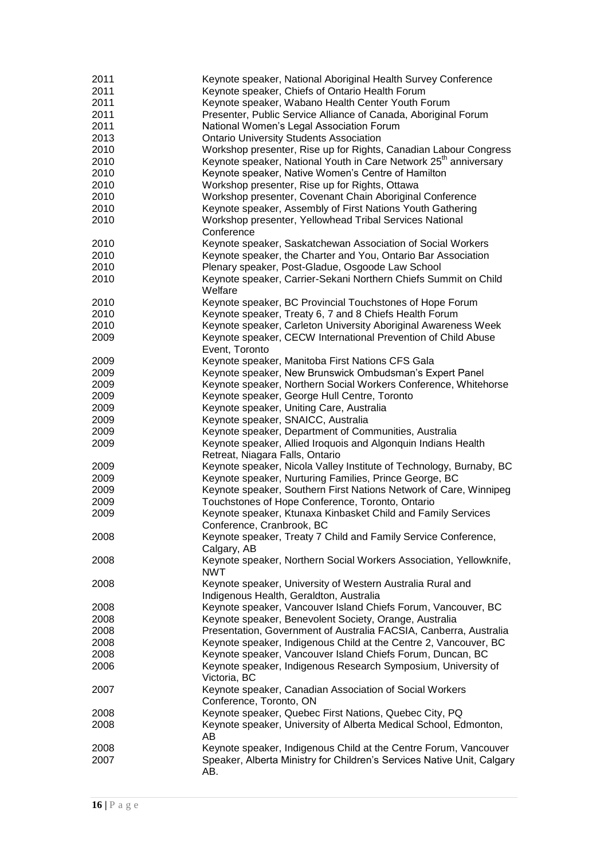| 2011 | Keynote speaker, National Aboriginal Health Survey Conference                |
|------|------------------------------------------------------------------------------|
| 2011 | Keynote speaker, Chiefs of Ontario Health Forum                              |
| 2011 | Keynote speaker, Wabano Health Center Youth Forum                            |
| 2011 | Presenter, Public Service Alliance of Canada, Aboriginal Forum               |
| 2011 | National Women's Legal Association Forum                                     |
| 2013 | <b>Ontario University Students Association</b>                               |
| 2010 | Workshop presenter, Rise up for Rights, Canadian Labour Congress             |
| 2010 | Keynote speaker, National Youth in Care Network 25 <sup>th</sup> anniversary |
| 2010 | Keynote speaker, Native Women's Centre of Hamilton                           |
| 2010 | Workshop presenter, Rise up for Rights, Ottawa                               |
| 2010 | Workshop presenter, Covenant Chain Aboriginal Conference                     |
| 2010 | Keynote speaker, Assembly of First Nations Youth Gathering                   |
| 2010 | Workshop presenter, Yellowhead Tribal Services National                      |
|      | Conference                                                                   |
| 2010 | Keynote speaker, Saskatchewan Association of Social Workers                  |
| 2010 | Keynote speaker, the Charter and You, Ontario Bar Association                |
|      |                                                                              |
| 2010 | Plenary speaker, Post-Gladue, Osgoode Law School                             |
| 2010 | Keynote speaker, Carrier-Sekani Northern Chiefs Summit on Child              |
|      | Welfare                                                                      |
| 2010 | Keynote speaker, BC Provincial Touchstones of Hope Forum                     |
| 2010 | Keynote speaker, Treaty 6, 7 and 8 Chiefs Health Forum                       |
| 2010 | Keynote speaker, Carleton University Aboriginal Awareness Week               |
| 2009 | Keynote speaker, CECW International Prevention of Child Abuse                |
|      | Event, Toronto                                                               |
| 2009 | Keynote speaker, Manitoba First Nations CFS Gala                             |
| 2009 | Keynote speaker, New Brunswick Ombudsman's Expert Panel                      |
| 2009 | Keynote speaker, Northern Social Workers Conference, Whitehorse              |
| 2009 | Keynote speaker, George Hull Centre, Toronto                                 |
| 2009 | Keynote speaker, Uniting Care, Australia                                     |
| 2009 | Keynote speaker, SNAICC, Australia                                           |
| 2009 | Keynote speaker, Department of Communities, Australia                        |
| 2009 | Keynote speaker, Allied Iroquois and Algonquin Indians Health                |
|      | Retreat, Niagara Falls, Ontario                                              |
| 2009 | Keynote speaker, Nicola Valley Institute of Technology, Burnaby, BC          |
| 2009 | Keynote speaker, Nurturing Families, Prince George, BC                       |
| 2009 | Keynote speaker, Southern First Nations Network of Care, Winnipeg            |
| 2009 | Touchstones of Hope Conference, Toronto, Ontario                             |
| 2009 | Keynote speaker, Ktunaxa Kinbasket Child and Family Services                 |
|      | Conference, Cranbrook, BC                                                    |
| 2008 | Keynote speaker, Treaty 7 Child and Family Service Conference,               |
|      | Calgary, AB                                                                  |
| 2008 | Keynote speaker, Northern Social Workers Association, Yellowknife,           |
|      | <b>NWT</b>                                                                   |
| 2008 | Keynote speaker, University of Western Australia Rural and                   |
|      | Indigenous Health, Geraldton, Australia                                      |
|      | Keynote speaker, Vancouver Island Chiefs Forum, Vancouver, BC                |
| 2008 |                                                                              |
| 2008 | Keynote speaker, Benevolent Society, Orange, Australia                       |
| 2008 | Presentation, Government of Australia FACSIA, Canberra, Australia            |
| 2008 | Keynote speaker, Indigenous Child at the Centre 2, Vancouver, BC             |
| 2008 | Keynote speaker, Vancouver Island Chiefs Forum, Duncan, BC                   |
| 2006 | Keynote speaker, Indigenous Research Symposium, University of                |
|      | Victoria, BC                                                                 |
| 2007 | Keynote speaker, Canadian Association of Social Workers                      |
|      | Conference, Toronto, ON                                                      |
| 2008 | Keynote speaker, Quebec First Nations, Quebec City, PQ                       |
| 2008 | Keynote speaker, University of Alberta Medical School, Edmonton,             |
|      | AB                                                                           |
| 2008 | Keynote speaker, Indigenous Child at the Centre Forum, Vancouver             |
| 2007 | Speaker, Alberta Ministry for Children's Services Native Unit, Calgary       |
|      | AB.                                                                          |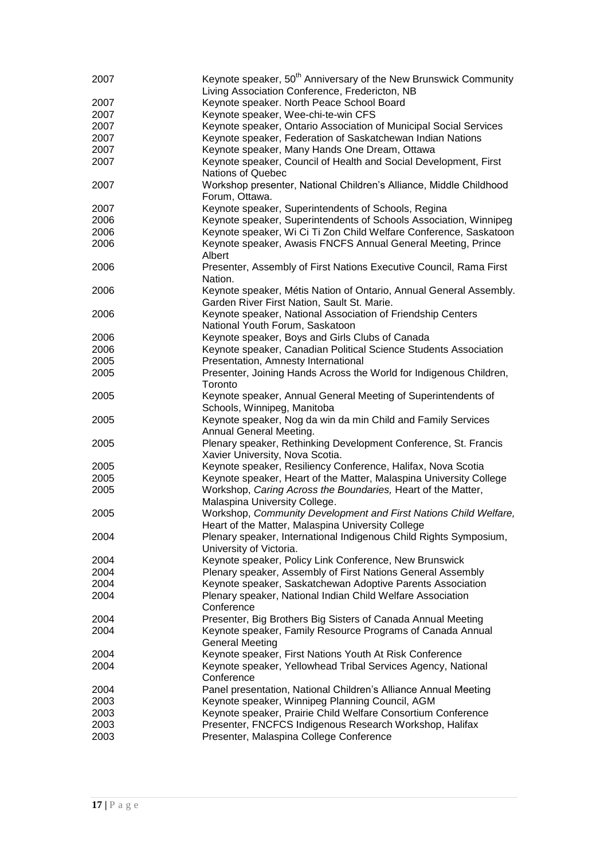| 2007 | Keynote speaker, 50 <sup>th</sup> Anniversary of the New Brunswick Community<br>Living Association Conference, Fredericton, NB |
|------|--------------------------------------------------------------------------------------------------------------------------------|
| 2007 | Keynote speaker. North Peace School Board                                                                                      |
| 2007 | Keynote speaker, Wee-chi-te-win CFS                                                                                            |
| 2007 | Keynote speaker, Ontario Association of Municipal Social Services                                                              |
| 2007 |                                                                                                                                |
|      | Keynote speaker, Federation of Saskatchewan Indian Nations                                                                     |
| 2007 | Keynote speaker, Many Hands One Dream, Ottawa                                                                                  |
| 2007 | Keynote speaker, Council of Health and Social Development, First<br><b>Nations of Quebec</b>                                   |
| 2007 | Workshop presenter, National Children's Alliance, Middle Childhood<br>Forum, Ottawa.                                           |
| 2007 | Keynote speaker, Superintendents of Schools, Regina                                                                            |
| 2006 | Keynote speaker, Superintendents of Schools Association, Winnipeg                                                              |
| 2006 | Keynote speaker, Wi Ci Ti Zon Child Welfare Conference, Saskatoon                                                              |
| 2006 | Keynote speaker, Awasis FNCFS Annual General Meeting, Prince<br>Albert                                                         |
| 2006 | Presenter, Assembly of First Nations Executive Council, Rama First<br>Nation.                                                  |
| 2006 | Keynote speaker, Métis Nation of Ontario, Annual General Assembly.<br>Garden River First Nation, Sault St. Marie.              |
| 2006 | Keynote speaker, National Association of Friendship Centers                                                                    |
|      | National Youth Forum, Saskatoon                                                                                                |
| 2006 | Keynote speaker, Boys and Girls Clubs of Canada                                                                                |
| 2006 | Keynote speaker, Canadian Political Science Students Association                                                               |
| 2005 | Presentation, Amnesty International                                                                                            |
| 2005 | Presenter, Joining Hands Across the World for Indigenous Children,<br>Toronto                                                  |
| 2005 | Keynote speaker, Annual General Meeting of Superintendents of<br>Schools, Winnipeg, Manitoba                                   |
| 2005 | Keynote speaker, Nog da win da min Child and Family Services<br>Annual General Meeting.                                        |
| 2005 | Plenary speaker, Rethinking Development Conference, St. Francis<br>Xavier University, Nova Scotia.                             |
| 2005 | Keynote speaker, Resiliency Conference, Halifax, Nova Scotia                                                                   |
| 2005 | Keynote speaker, Heart of the Matter, Malaspina University College                                                             |
|      |                                                                                                                                |
| 2005 | Workshop, Caring Across the Boundaries, Heart of the Matter,                                                                   |
|      | Malaspina University College.                                                                                                  |
| 2005 | Workshop, Community Development and First Nations Child Welfare,<br>Heart of the Matter, Malaspina University College          |
| 2004 | Plenary speaker, International Indigenous Child Rights Symposium,<br>University of Victoria.                                   |
| 2004 | Keynote speaker, Policy Link Conference, New Brunswick                                                                         |
| 2004 | Plenary speaker, Assembly of First Nations General Assembly                                                                    |
| 2004 | Keynote speaker, Saskatchewan Adoptive Parents Association                                                                     |
| 2004 | Plenary speaker, National Indian Child Welfare Association<br>Conference                                                       |
| 2004 | Presenter, Big Brothers Big Sisters of Canada Annual Meeting                                                                   |
| 2004 | Keynote speaker, Family Resource Programs of Canada Annual                                                                     |
|      | <b>General Meeting</b>                                                                                                         |
| 2004 | Keynote speaker, First Nations Youth At Risk Conference                                                                        |
| 2004 | Keynote speaker, Yellowhead Tribal Services Agency, National                                                                   |
|      | Conference                                                                                                                     |
| 2004 | Panel presentation, National Children's Alliance Annual Meeting                                                                |
| 2003 | Keynote speaker, Winnipeg Planning Council, AGM                                                                                |
| 2003 | Keynote speaker, Prairie Child Welfare Consortium Conference                                                                   |
| 2003 | Presenter, FNCFCS Indigenous Research Workshop, Halifax                                                                        |
| 2003 | Presenter, Malaspina College Conference                                                                                        |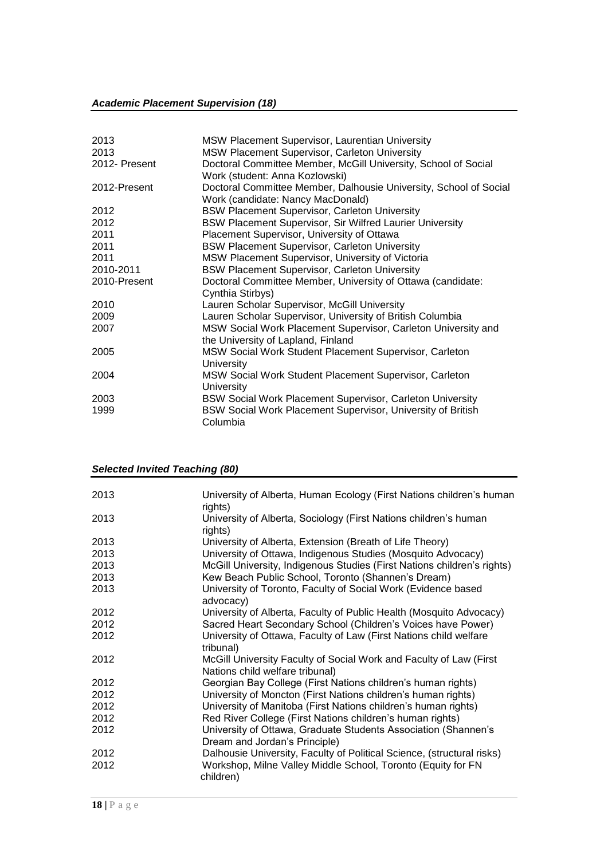## *Academic Placement Supervision (18)*

| 2013          | MSW Placement Supervisor, Laurentian University                   |
|---------------|-------------------------------------------------------------------|
| 2013          | MSW Placement Supervisor, Carleton University                     |
| 2012- Present | Doctoral Committee Member, McGill University, School of Social    |
|               | Work (student: Anna Kozlowski)                                    |
| 2012-Present  | Doctoral Committee Member, Dalhousie University, School of Social |
|               | Work (candidate: Nancy MacDonald)                                 |
| 2012          | <b>BSW Placement Supervisor, Carleton University</b>              |
| 2012          | <b>BSW Placement Supervisor, Sir Wilfred Laurier University</b>   |
| 2011          | Placement Supervisor, University of Ottawa                        |
| 2011          | <b>BSW Placement Supervisor, Carleton University</b>              |
| 2011          | MSW Placement Supervisor, University of Victoria                  |
| 2010-2011     | <b>BSW Placement Supervisor, Carleton University</b>              |
| 2010-Present  | Doctoral Committee Member, University of Ottawa (candidate:       |
|               | Cynthia Stirbys)                                                  |
| 2010          | Lauren Scholar Supervisor, McGill University                      |
| 2009          | Lauren Scholar Supervisor, University of British Columbia         |
| 2007          | MSW Social Work Placement Supervisor, Carleton University and     |
|               | the University of Lapland, Finland                                |
| 2005          | MSW Social Work Student Placement Supervisor, Carleton            |
|               | University                                                        |
| 2004          | MSW Social Work Student Placement Supervisor, Carleton            |
|               | University                                                        |
| 2003          | BSW Social Work Placement Supervisor, Carleton University         |
| 1999          | BSW Social Work Placement Supervisor, University of British       |
|               | Columbia                                                          |

## *Selected Invited Teaching (80)*

| 2013 | University of Alberta, Human Ecology (First Nations children's human<br>rights)                       |
|------|-------------------------------------------------------------------------------------------------------|
| 2013 | University of Alberta, Sociology (First Nations children's human<br>rights)                           |
| 2013 | University of Alberta, Extension (Breath of Life Theory)                                              |
| 2013 | University of Ottawa, Indigenous Studies (Mosquito Advocacy)                                          |
| 2013 | McGill University, Indigenous Studies (First Nations children's rights)                               |
| 2013 | Kew Beach Public School, Toronto (Shannen's Dream)                                                    |
| 2013 | University of Toronto, Faculty of Social Work (Evidence based<br>advocacy)                            |
| 2012 | University of Alberta, Faculty of Public Health (Mosquito Advocacy)                                   |
| 2012 | Sacred Heart Secondary School (Children's Voices have Power)                                          |
| 2012 | University of Ottawa, Faculty of Law (First Nations child welfare<br>tribunal)                        |
| 2012 | McGill University Faculty of Social Work and Faculty of Law (First<br>Nations child welfare tribunal) |
| 2012 | Georgian Bay College (First Nations children's human rights)                                          |
| 2012 | University of Moncton (First Nations children's human rights)                                         |
| 2012 | University of Manitoba (First Nations children's human rights)                                        |
| 2012 | Red River College (First Nations children's human rights)                                             |
| 2012 | University of Ottawa, Graduate Students Association (Shannen's<br>Dream and Jordan's Principle)       |
| 2012 | Dalhousie University, Faculty of Political Science, (structural risks)                                |
| 2012 | Workshop, Milne Valley Middle School, Toronto (Equity for FN<br>children)                             |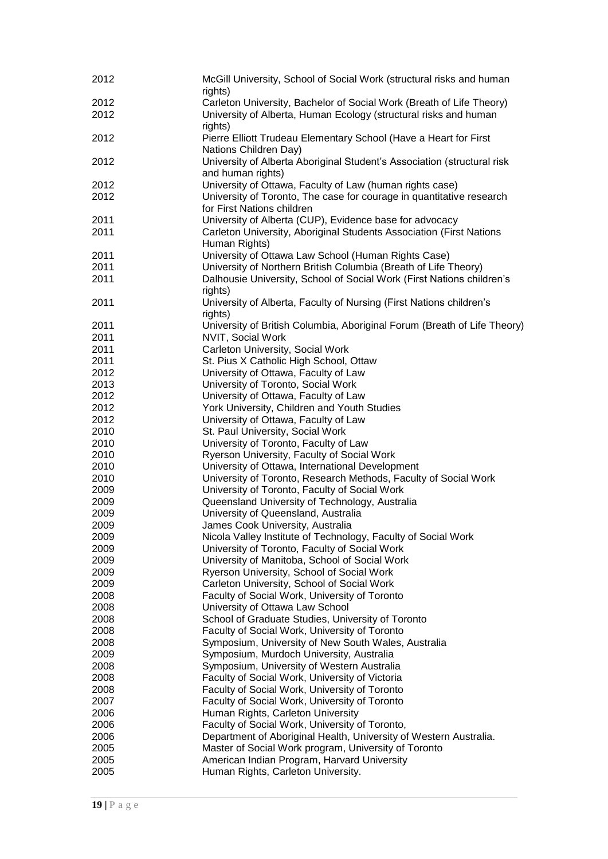| 2012         | McGill University, School of Social Work (structural risks and human<br>rights)                                                                                |
|--------------|----------------------------------------------------------------------------------------------------------------------------------------------------------------|
| 2012         |                                                                                                                                                                |
| 2012         | Carleton University, Bachelor of Social Work (Breath of Life Theory)<br>University of Alberta, Human Ecology (structural risks and human                       |
| 2012         | rights)<br>Pierre Elliott Trudeau Elementary School (Have a Heart for First                                                                                    |
| 2012         | Nations Children Day)<br>University of Alberta Aboriginal Student's Association (structural risk                                                               |
|              | and human rights)                                                                                                                                              |
| 2012<br>2012 | University of Ottawa, Faculty of Law (human rights case)<br>University of Toronto, The case for courage in quantitative research<br>for First Nations children |
| 2011         | University of Alberta (CUP), Evidence base for advocacy                                                                                                        |
| 2011         | Carleton University, Aboriginal Students Association (First Nations<br>Human Rights)                                                                           |
| 2011         | University of Ottawa Law School (Human Rights Case)                                                                                                            |
| 2011         | University of Northern British Columbia (Breath of Life Theory)                                                                                                |
| 2011         | Dalhousie University, School of Social Work (First Nations children's<br>rights)                                                                               |
| 2011         | University of Alberta, Faculty of Nursing (First Nations children's<br>rights)                                                                                 |
| 2011         | University of British Columbia, Aboriginal Forum (Breath of Life Theory)                                                                                       |
| 2011         | NVIT, Social Work                                                                                                                                              |
| 2011         | Carleton University, Social Work                                                                                                                               |
| 2011         | St. Pius X Catholic High School, Ottaw                                                                                                                         |
| 2012         | University of Ottawa, Faculty of Law                                                                                                                           |
| 2013         | University of Toronto, Social Work                                                                                                                             |
| 2012         | University of Ottawa, Faculty of Law                                                                                                                           |
| 2012         | York University, Children and Youth Studies                                                                                                                    |
| 2012         | University of Ottawa, Faculty of Law                                                                                                                           |
| 2010         | St. Paul University, Social Work                                                                                                                               |
| 2010         |                                                                                                                                                                |
|              | University of Toronto, Faculty of Law                                                                                                                          |
| 2010         | Ryerson University, Faculty of Social Work                                                                                                                     |
| 2010         | University of Ottawa, International Development                                                                                                                |
| 2010         | University of Toronto, Research Methods, Faculty of Social Work                                                                                                |
| 2009         | University of Toronto, Faculty of Social Work                                                                                                                  |
| 2009         | Queensland University of Technology, Australia                                                                                                                 |
| 2009         | University of Queensland, Australia                                                                                                                            |
| 2009         | James Cook University, Australia                                                                                                                               |
| 2009         | Nicola Valley Institute of Technology, Faculty of Social Work                                                                                                  |
| 2009         | University of Toronto, Faculty of Social Work                                                                                                                  |
| 2009         | University of Manitoba, School of Social Work                                                                                                                  |
| 2009         | Ryerson University, School of Social Work                                                                                                                      |
| 2009         | Carleton University, School of Social Work                                                                                                                     |
| 2008         | Faculty of Social Work, University of Toronto                                                                                                                  |
| 2008         | University of Ottawa Law School                                                                                                                                |
| 2008         | School of Graduate Studies, University of Toronto                                                                                                              |
| 2008         | Faculty of Social Work, University of Toronto                                                                                                                  |
| 2008         | Symposium, University of New South Wales, Australia                                                                                                            |
| 2009         | Symposium, Murdoch University, Australia                                                                                                                       |
| 2008         | Symposium, University of Western Australia                                                                                                                     |
| 2008         | Faculty of Social Work, University of Victoria                                                                                                                 |
| 2008         | Faculty of Social Work, University of Toronto                                                                                                                  |
| 2007         | Faculty of Social Work, University of Toronto                                                                                                                  |
| 2006         | Human Rights, Carleton University                                                                                                                              |
|              |                                                                                                                                                                |
| 2006         | Faculty of Social Work, University of Toronto,                                                                                                                 |
| 2006         | Department of Aboriginal Health, University of Western Australia.                                                                                              |
| 2005         | Master of Social Work program, University of Toronto                                                                                                           |
| 2005         | American Indian Program, Harvard University                                                                                                                    |
| 2005         | Human Rights, Carleton University.                                                                                                                             |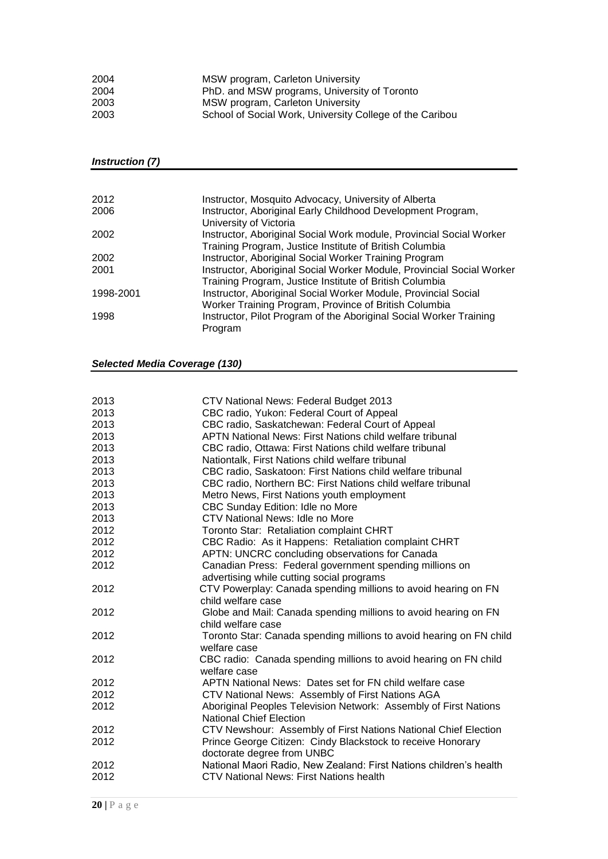| 2004 | MSW program, Carleton University                         |
|------|----------------------------------------------------------|
| 2004 | PhD. and MSW programs, University of Toronto             |
| 2003 | MSW program, Carleton University                         |
| 2003 | School of Social Work, University College of the Caribou |

#### *Instruction (7)*

| 2012      | Instructor, Mosquito Advocacy, University of Alberta                  |
|-----------|-----------------------------------------------------------------------|
| 2006      | Instructor, Aboriginal Early Childhood Development Program,           |
|           | University of Victoria                                                |
| 2002      | Instructor, Aboriginal Social Work module, Provincial Social Worker   |
|           | Training Program, Justice Institute of British Columbia               |
| 2002      | Instructor, Aboriginal Social Worker Training Program                 |
| 2001      | Instructor, Aboriginal Social Worker Module, Provincial Social Worker |
|           | Training Program, Justice Institute of British Columbia               |
| 1998-2001 | Instructor, Aboriginal Social Worker Module, Provincial Social        |
|           | Worker Training Program, Province of British Columbia                 |
| 1998      | Instructor, Pilot Program of the Aboriginal Social Worker Training    |
|           | Program                                                               |

## *Selected Media Coverage (130)*

| 2013 | CTV National News: Federal Budget 2013                                              |
|------|-------------------------------------------------------------------------------------|
| 2013 | CBC radio, Yukon: Federal Court of Appeal                                           |
| 2013 | CBC radio, Saskatchewan: Federal Court of Appeal                                    |
| 2013 | APTN National News: First Nations child welfare tribunal                            |
| 2013 | CBC radio, Ottawa: First Nations child welfare tribunal                             |
| 2013 | Nationtalk, First Nations child welfare tribunal                                    |
| 2013 | CBC radio, Saskatoon: First Nations child welfare tribunal                          |
| 2013 | CBC radio, Northern BC: First Nations child welfare tribunal                        |
| 2013 | Metro News, First Nations youth employment                                          |
| 2013 | CBC Sunday Edition: Idle no More                                                    |
| 2013 | CTV National News: Idle no More                                                     |
| 2012 | Toronto Star: Retaliation complaint CHRT                                            |
| 2012 | CBC Radio: As it Happens: Retaliation complaint CHRT                                |
| 2012 | APTN: UNCRC concluding observations for Canada                                      |
| 2012 | Canadian Press: Federal government spending millions on                             |
|      | advertising while cutting social programs                                           |
| 2012 | CTV Powerplay: Canada spending millions to avoid hearing on FN                      |
|      | child welfare case                                                                  |
| 2012 | Globe and Mail: Canada spending millions to avoid hearing on FN                     |
|      | child welfare case                                                                  |
| 2012 | Toronto Star: Canada spending millions to avoid hearing on FN child<br>welfare case |
| 2012 | CBC radio: Canada spending millions to avoid hearing on FN child                    |
|      | welfare case                                                                        |
| 2012 | APTN National News: Dates set for FN child welfare case                             |
| 2012 | CTV National News: Assembly of First Nations AGA                                    |
| 2012 | Aboriginal Peoples Television Network: Assembly of First Nations                    |
|      | <b>National Chief Election</b>                                                      |
| 2012 | CTV Newshour: Assembly of First Nations National Chief Election                     |
| 2012 | Prince George Citizen: Cindy Blackstock to receive Honorary                         |
|      | doctorate degree from UNBC                                                          |
| 2012 | National Maori Radio, New Zealand: First Nations children's health                  |
| 2012 | CTV National News: First Nations health                                             |
|      |                                                                                     |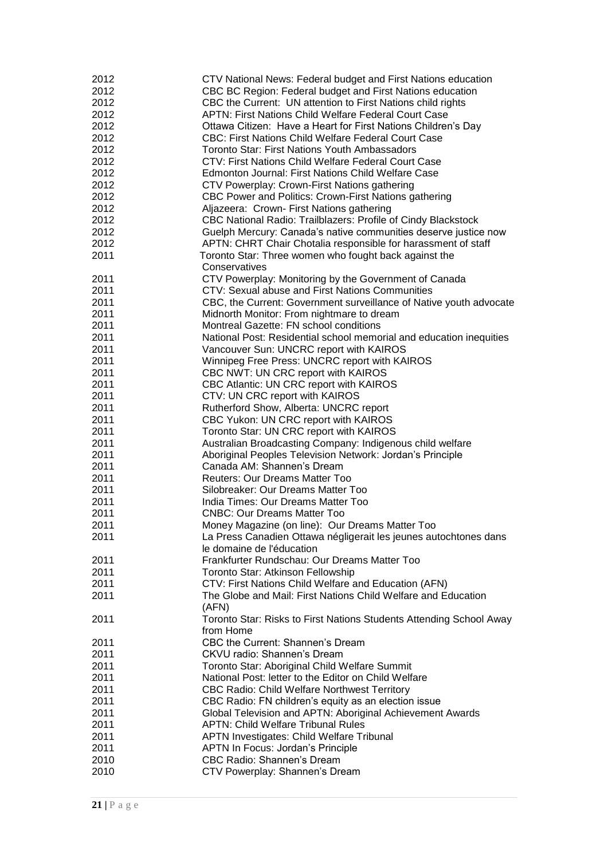| 2012 | CTV National News: Federal budget and First Nations education       |
|------|---------------------------------------------------------------------|
| 2012 | CBC BC Region: Federal budget and First Nations education           |
| 2012 | CBC the Current: UN attention to First Nations child rights         |
| 2012 | <b>APTN: First Nations Child Welfare Federal Court Case</b>         |
| 2012 | Ottawa Citizen: Have a Heart for First Nations Children's Day       |
| 2012 | <b>CBC: First Nations Child Welfare Federal Court Case</b>          |
| 2012 | <b>Toronto Star: First Nations Youth Ambassadors</b>                |
| 2012 | CTV: First Nations Child Welfare Federal Court Case                 |
| 2012 | Edmonton Journal: First Nations Child Welfare Case                  |
| 2012 | CTV Powerplay: Crown-First Nations gathering                        |
| 2012 | CBC Power and Politics: Crown-First Nations gathering               |
| 2012 | Aljazeera: Crown- First Nations gathering                           |
| 2012 | CBC National Radio: Trailblazers: Profile of Cindy Blackstock       |
| 2012 | Guelph Mercury: Canada's native communities deserve justice now     |
| 2012 | APTN: CHRT Chair Chotalia responsible for harassment of staff       |
| 2011 | Toronto Star: Three women who fought back against the               |
|      | Conservatives                                                       |
| 2011 | CTV Powerplay: Monitoring by the Government of Canada               |
| 2011 | CTV: Sexual abuse and First Nations Communities                     |
| 2011 | CBC, the Current: Government surveillance of Native youth advocate  |
| 2011 | Midnorth Monitor: From nightmare to dream                           |
| 2011 | Montreal Gazette: FN school conditions                              |
| 2011 | National Post: Residential school memorial and education inequities |
| 2011 | Vancouver Sun: UNCRC report with KAIROS                             |
| 2011 | Winnipeg Free Press: UNCRC report with KAIROS                       |
| 2011 | CBC NWT: UN CRC report with KAIROS                                  |
| 2011 | CBC Atlantic: UN CRC report with KAIROS                             |
| 2011 | CTV: UN CRC report with KAIROS                                      |
| 2011 | Rutherford Show, Alberta: UNCRC report                              |
| 2011 | CBC Yukon: UN CRC report with KAIROS                                |
| 2011 | Toronto Star: UN CRC report with KAIROS                             |
| 2011 | Australian Broadcasting Company: Indigenous child welfare           |
| 2011 | Aboriginal Peoples Television Network: Jordan's Principle           |
| 2011 | Canada AM: Shannen's Dream                                          |
| 2011 | <b>Reuters: Our Dreams Matter Too</b>                               |
| 2011 | Silobreaker: Our Dreams Matter Too                                  |
| 2011 | India Times: Our Dreams Matter Too                                  |
| 2011 | <b>CNBC: Our Dreams Matter Too</b>                                  |
| 2011 | Money Magazine (on line): Our Dreams Matter Too                     |
| 2011 | La Press Canadien Ottawa négligerait les jeunes autochtones dans    |
|      | le domaine de l'éducation                                           |
| 2011 | Frankfurter Rundschau: Our Dreams Matter Too                        |
| 2011 | Toronto Star: Atkinson Fellowship                                   |
| 2011 | CTV: First Nations Child Welfare and Education (AFN)                |
| 2011 | The Globe and Mail: First Nations Child Welfare and Education       |
|      | (AFN)                                                               |
| 2011 | Toronto Star: Risks to First Nations Students Attending School Away |
|      | from Home                                                           |
| 2011 | CBC the Current: Shannen's Dream                                    |
| 2011 | <b>CKVU radio: Shannen's Dream</b>                                  |
| 2011 | Toronto Star: Aboriginal Child Welfare Summit                       |
| 2011 | National Post: letter to the Editor on Child Welfare                |
| 2011 | <b>CBC Radio: Child Welfare Northwest Territory</b>                 |
| 2011 | CBC Radio: FN children's equity as an election issue                |
| 2011 | Global Television and APTN: Aboriginal Achievement Awards           |
| 2011 | <b>APTN: Child Welfare Tribunal Rules</b>                           |
| 2011 | APTN Investigates: Child Welfare Tribunal                           |
| 2011 | APTN In Focus: Jordan's Principle                                   |
| 2010 | <b>CBC Radio: Shannen's Dream</b>                                   |
| 2010 | CTV Powerplay: Shannen's Dream                                      |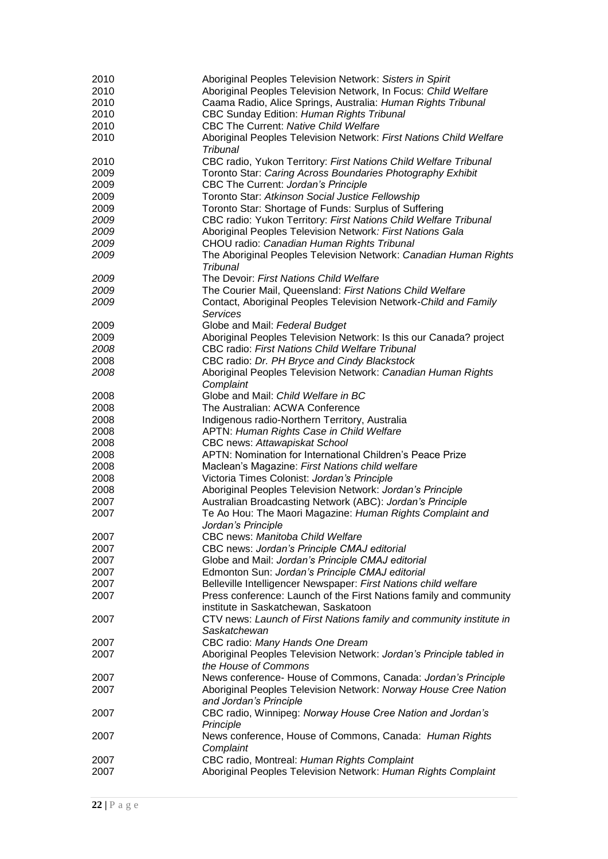| 2010 | Aboriginal Peoples Television Network: Sisters in Spirit                     |
|------|------------------------------------------------------------------------------|
| 2010 | Aboriginal Peoples Television Network, In Focus: Child Welfare               |
| 2010 | Caama Radio, Alice Springs, Australia: Human Rights Tribunal                 |
| 2010 | CBC Sunday Edition: Human Rights Tribunal                                    |
| 2010 | CBC The Current: Native Child Welfare                                        |
| 2010 | Aboriginal Peoples Television Network: First Nations Child Welfare           |
|      | <b>Tribunal</b>                                                              |
| 2010 | CBC radio, Yukon Territory: First Nations Child Welfare Tribunal             |
| 2009 | Toronto Star: Caring Across Boundaries Photography Exhibit                   |
| 2009 | CBC The Current: Jordan's Principle                                          |
| 2009 | Toronto Star: Atkinson Social Justice Fellowship                             |
| 2009 | Toronto Star: Shortage of Funds: Surplus of Suffering                        |
| 2009 | CBC radio: Yukon Territory: First Nations Child Welfare Tribunal             |
| 2009 | Aboriginal Peoples Television Network: First Nations Gala                    |
| 2009 | CHOU radio: Canadian Human Rights Tribunal                                   |
| 2009 | The Aboriginal Peoples Television Network: Canadian Human Rights<br>Tribunal |
| 2009 | The Devoir: First Nations Child Welfare                                      |
| 2009 | The Courier Mail, Queensland: First Nations Child Welfare                    |
| 2009 | Contact, Aboriginal Peoples Television Network-Child and Family              |
|      | Services                                                                     |
| 2009 | Globe and Mail: Federal Budget                                               |
| 2009 | Aboriginal Peoples Television Network: Is this our Canada? project           |
| 2008 | CBC radio: First Nations Child Welfare Tribunal                              |
| 2008 | CBC radio: Dr. PH Bryce and Cindy Blackstock                                 |
| 2008 | Aboriginal Peoples Television Network: Canadian Human Rights                 |
|      | Complaint                                                                    |
| 2008 | Globe and Mail: Child Welfare in BC                                          |
| 2008 | The Australian: ACWA Conference                                              |
| 2008 | Indigenous radio-Northern Territory, Australia                               |
| 2008 | APTN: Human Rights Case in Child Welfare                                     |
| 2008 | CBC news: Attawapiskat School                                                |
| 2008 | APTN: Nomination for International Children's Peace Prize                    |
| 2008 | Maclean's Magazine: First Nations child welfare                              |
| 2008 | Victoria Times Colonist: Jordan's Principle                                  |
| 2008 | Aboriginal Peoples Television Network: Jordan's Principle                    |
| 2007 | Australian Broadcasting Network (ABC): Jordan's Principle                    |
| 2007 | Te Ao Hou: The Maori Magazine: Human Rights Complaint and                    |
| 2007 | Jordan's Principle<br>CBC news: Manitoba Child Welfare                       |
| 2007 | CBC news: Jordan's Principle CMAJ editorial                                  |
| 2007 | Globe and Mail: Jordan's Principle CMAJ editorial                            |
| 2007 | Edmonton Sun: Jordan's Principle CMAJ editorial                              |
| 2007 | Belleville Intelligencer Newspaper: First Nations child welfare              |
| 2007 | Press conference: Launch of the First Nations family and community           |
|      | institute in Saskatchewan, Saskatoon                                         |
| 2007 | CTV news: Launch of First Nations family and community institute in          |
|      | Saskatchewan                                                                 |
| 2007 | CBC radio: Many Hands One Dream                                              |
| 2007 | Aboriginal Peoples Television Network: Jordan's Principle tabled in          |
|      | the House of Commons                                                         |
| 2007 | News conference- House of Commons, Canada: Jordan's Principle                |
| 2007 | Aboriginal Peoples Television Network: Norway House Cree Nation              |
|      | and Jordan's Principle                                                       |
| 2007 | CBC radio, Winnipeg: Norway House Cree Nation and Jordan's                   |
| 2007 | Principle<br>News conference, House of Commons, Canada: Human Rights         |
|      | Complaint                                                                    |
| 2007 | CBC radio, Montreal: Human Rights Complaint                                  |
| 2007 | Aboriginal Peoples Television Network: Human Rights Complaint                |
|      |                                                                              |